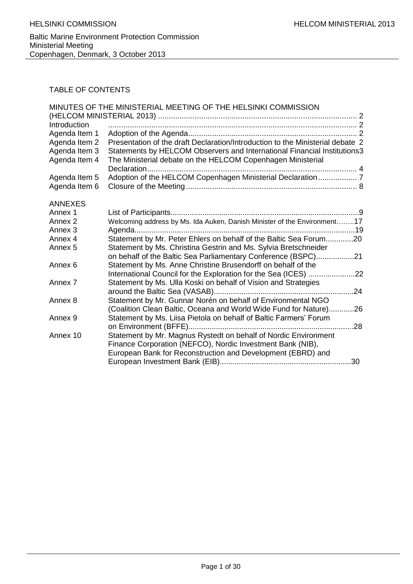# TABLE OF CONTENTS

| Introduction       | MINUTES OF THE MINISTERIAL MEETING OF THE HELSINKI COMMISSION                                                                     |  |
|--------------------|-----------------------------------------------------------------------------------------------------------------------------------|--|
| Agenda Item 1      |                                                                                                                                   |  |
| Agenda Item 2      | Presentation of the draft Declaration/Introduction to the Ministerial debate 2                                                    |  |
| Agenda Item 3      | Statements by HELCOM Observers and International Financial Institutions3                                                          |  |
| Agenda Item 4      | The Ministerial debate on the HELCOM Copenhagen Ministerial                                                                       |  |
|                    | Declaration                                                                                                                       |  |
| Agenda Item 5      | Adoption of the HELCOM Copenhagen Ministerial Declaration 7                                                                       |  |
| Agenda Item 6      |                                                                                                                                   |  |
| <b>ANNEXES</b>     |                                                                                                                                   |  |
| Annex 1            |                                                                                                                                   |  |
| Annex 2            | Welcoming address by Ms. Ida Auken, Danish Minister of the Environment17                                                          |  |
| Annex <sub>3</sub> |                                                                                                                                   |  |
| Annex 4            | Statement by Mr. Peter Ehlers on behalf of the Baltic Sea Forum20                                                                 |  |
| Annex 5            | Statement by Ms. Christina Gestrin and Ms. Sylvia Bretschneider                                                                   |  |
|                    | on behalf of the Baltic Sea Parliamentary Conference (BSPC)21                                                                     |  |
| Annex <sub>6</sub> | Statement by Ms. Anne Christine Brusendorff on behalf of the                                                                      |  |
|                    | International Council for the Exploration for the Sea (ICES) 22                                                                   |  |
| Annex <sub>7</sub> | Statement by Ms. Ulla Koski on behalf of Vision and Strategies                                                                    |  |
| Annex 8            |                                                                                                                                   |  |
|                    | Statement by Mr. Gunnar Norén on behalf of Environmental NGO<br>(Coalition Clean Baltic, Oceana and World Wide Fund for Nature)26 |  |
| Annex <sub>9</sub> | Statement by Ms. Liisa Pietola on behalf of Baltic Farmers' Forum                                                                 |  |
|                    |                                                                                                                                   |  |
| Annex 10           | Statement by Mr. Magnus Rystedt on behalf of Nordic Environment                                                                   |  |
|                    | Finance Corporation (NEFCO), Nordic Investment Bank (NIB),                                                                        |  |
|                    | European Bank for Reconstruction and Development (EBRD) and                                                                       |  |
|                    |                                                                                                                                   |  |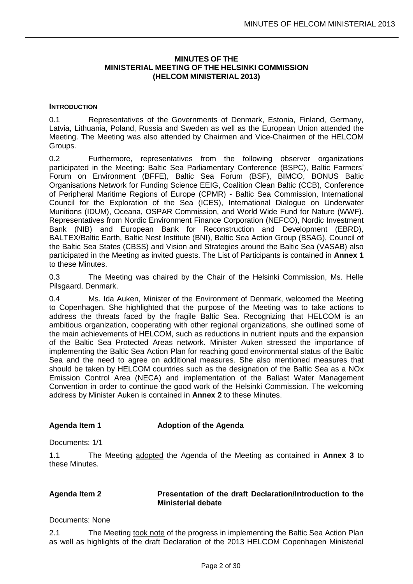### **MINUTES OF THE MINISTERIAL MEETING OF THE HELSINKI COMMISSION (HELCOM MINISTERIAL 2013)**

# <span id="page-1-1"></span><span id="page-1-0"></span>**INTRODUCTION**

0.1 Representatives of the Governments of Denmark, Estonia, Finland, Germany, Latvia, Lithuania, Poland, Russia and Sweden as well as the European Union attended the Meeting. The Meeting was also attended by Chairmen and Vice-Chairmen of the HELCOM Groups.

0.2 Furthermore, representatives from the following observer organizations participated in the Meeting: Baltic Sea Parliamentary Conference (BSPC), Baltic Farmers' Forum on Environment (BFFE), Baltic Sea Forum (BSF), BIMCO, BONUS Baltic Organisations Network for Funding Science EEIG, Coalition Clean Baltic (CCB), Conference of Peripheral Maritime Regions of Europe (CPMR) - Baltic Sea Commission, International Council for the Exploration of the Sea (ICES), International Dialogue on Underwater Munitions (IDUM), Oceana, OSPAR Commission, and World Wide Fund for Nature (WWF). Representatives from Nordic Environment Finance Corporation (NEFCO), Nordic Investment Bank (NIB) and European Bank for Reconstruction and Development (EBRD), BALTEX/Baltic Earth, Baltic Nest Institute (BNI), Baltic Sea Action Group (BSAG), Council of the Baltic Sea States (CBSS) and Vision and Strategies around the Baltic Sea (VASAB) also participated in the Meeting as invited guests. The List of Participants is contained in **Annex 1** to these Minutes.

0.3 The Meeting was chaired by the Chair of the Helsinki Commission, Ms. Helle Pilsgaard, Denmark.

0.4 Ms. Ida Auken, Minister of the Environment of Denmark, welcomed the Meeting to Copenhagen. She highlighted that the purpose of the Meeting was to take actions to address the threats faced by the fragile Baltic Sea. Recognizing that HELCOM is an ambitious organization, cooperating with other regional organizations, she outlined some of the main achievements of HELCOM, such as reductions in nutrient inputs and the expansion of the Baltic Sea Protected Areas network. Minister Auken stressed the importance of implementing the Baltic Sea Action Plan for reaching good environmental status of the Baltic Sea and the need to agree on additional measures. She also mentioned measures that should be taken by HELCOM countries such as the designation of the Baltic Sea as a NOx Emission Control Area (NECA) and implementation of the Ballast Water Management Convention in order to continue the good work of the Helsinki Commission. The welcoming address by Minister Auken is contained in **Annex 2** to these Minutes.

## <span id="page-1-2"></span>Agenda Item 1 **Adoption of the Agenda**

Documents: 1/1

1.1 The Meeting adopted the Agenda of the Meeting as contained in **Annex 3** to these Minutes.

## <span id="page-1-3"></span>**Agenda Item 2 Presentation of the draft Declaration/Introduction to the Ministerial debate**

Documents: None

2.1 The Meeting took note of the progress in implementing the Baltic Sea Action Plan as well as highlights of the draft Declaration of the 2013 HELCOM Copenhagen Ministerial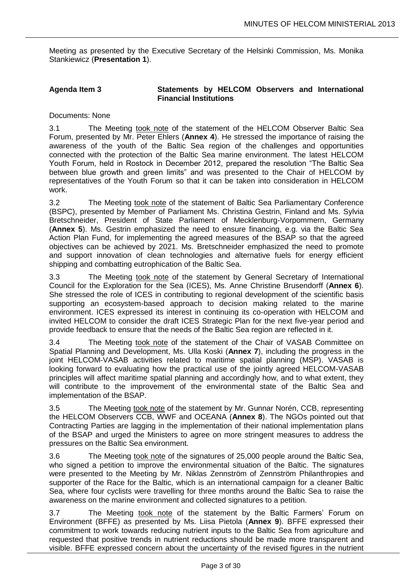Meeting as presented by the Executive Secretary of the Helsinki Commission, Ms. Monika Stankiewicz (**Presentation 1**).

# <span id="page-2-0"></span>**Agenda Item 3 Statements by HELCOM Observers and International Financial Institutions**

Documents: None

3.1 The Meeting took note of the statement of the HELCOM Observer Baltic Sea Forum, presented by Mr. Peter Ehlers (**Annex 4**). He stressed the importance of raising the awareness of the youth of the Baltic Sea region of the challenges and opportunities connected with the protection of the Baltic Sea marine environment. The latest HELCOM Youth Forum, held in Rostock in December 2012, prepared the resolution "The Baltic Sea between blue growth and green limits" and was presented to the Chair of HELCOM by representatives of the Youth Forum so that it can be taken into consideration in HELCOM work.

3.2 The Meeting took note of the statement of Baltic Sea Parliamentary Conference (BSPC), presented by Member of Parliament Ms. Christina Gestrin, Finland and Ms. Sylvia Bretschneider, President of State Parliament of Mecklenburg-Vorpommern, Germany (**Annex 5**). Ms. Gestrin emphasized the need to ensure financing, e.g. via the Baltic Sea Action Plan Fund, for implementing the agreed measures of the BSAP so that the agreed objectives can be achieved by 2021. Ms. Bretschneider emphasized the need to promote and support innovation of clean technologies and alternative fuels for energy efficient shipping and combatting eutrophication of the Baltic Sea.

3.3 The Meeting took note of the statement by General Secretary of International Council for the Exploration for the Sea (ICES), Ms. Anne Christine Brusendorff (**Annex 6**). She stressed the role of ICES in contributing to regional development of the scientific basis supporting an ecosystem-based approach to decision making related to the marine environment. ICES expressed its interest in continuing its co-operation with HELCOM and invited HELCOM to consider the draft ICES Strategic Plan for the next five-year period and provide feedback to ensure that the needs of the Baltic Sea region are reflected in it.

3.4 The Meeting took note of the statement of the Chair of VASAB Committee on Spatial Planning and Development, Ms. Ulla Koski (**Annex 7**), including the progress in the joint HELCOM-VASAB activities related to maritime spatial planning (MSP). VASAB is looking forward to evaluating how the practical use of the jointly agreed HELCOM-VASAB principles will affect maritime spatial planning and accordingly how, and to what extent, they will contribute to the improvement of the environmental state of the Baltic Sea and implementation of the BSAP.

3.5 The Meeting took note of the statement by Mr. Gunnar Norén, CCB, representing the HELCOM Observers CCB, WWF and OCEANA (**Annex 8**). The NGOs pointed out that Contracting Parties are lagging in the implementation of their national implementation plans of the BSAP and urged the Ministers to agree on more stringent measures to address the pressures on the Baltic Sea environment.

3.6 The Meeting took note of the signatures of 25,000 people around the Baltic Sea, who signed a petition to improve the environmental situation of the Baltic. The signatures were presented to the Meeting by Mr. Niklas Zennström of Zennström Philanthropies and supporter of the Race for the Baltic, which is an international campaign for a cleaner Baltic Sea, where four cyclists were travelling for three months around the Baltic Sea to raise the awareness on the marine environment and collected signatures to a petition.

3.7 The Meeting took note of the statement by the Baltic Farmers' Forum on Environment (BFFE) as presented by Ms. Liisa Pietola (**Annex 9**). BFFE expressed their commitment to work towards reducing nutrient inputs to the Baltic Sea from agriculture and requested that positive trends in nutrient reductions should be made more transparent and visible. BFFE expressed concern about the uncertainty of the revised figures in the nutrient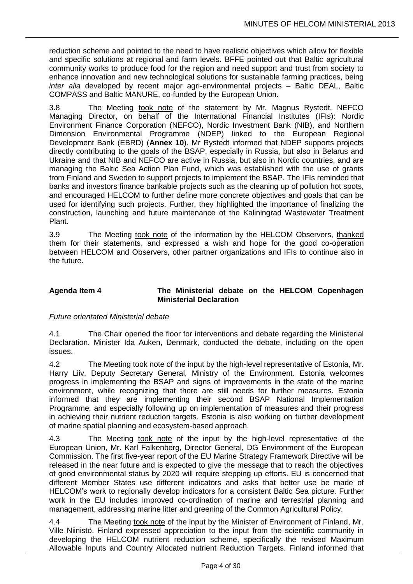reduction scheme and pointed to the need to have realistic objectives which allow for flexible and specific solutions at regional and farm levels. BFFE pointed out that Baltic agricultural community works to produce food for the region and need support and trust from society to enhance innovation and new technological solutions for sustainable farming practices, being *inter alia* developed by recent major agri-environmental projects – Baltic DEAL, Baltic COMPASS and Baltic MANURE, co-funded by the European Union.

3.8 The Meeting took note of the statement by Mr. Magnus Rystedt, NEFCO Managing Director, on behalf of the International Financial Institutes (IFIs): Nordic Environment Finance Corporation (NEFCO), Nordic Investment Bank (NIB), and Northern Dimension Environmental Programme (NDEP) linked to the European Regional Development Bank (EBRD) (**Annex 10**). Mr Rystedt informed that NDEP supports projects directly contributing to the goals of the BSAP, especially in Russia, but also in Belarus and Ukraine and that NIB and NEFCO are active in Russia, but also in Nordic countries, and are managing the Baltic Sea Action Plan Fund, which was established with the use of grants from Finland and Sweden to support projects to implement the BSAP. The IFIs reminded that banks and investors finance bankable projects such as the cleaning up of pollution hot spots, and encouraged HELCOM to further define more concrete objectives and goals that can be used for identifying such projects. Further, they highlighted the importance of finalizing the construction, launching and future maintenance of the Kaliningrad Wastewater Treatment Plant.

3.9 The Meeting took note of the information by the HELCOM Observers, thanked them for their statements, and expressed a wish and hope for the good co-operation between HELCOM and Observers, other partner organizations and IFIs to continue also in the future.

## <span id="page-3-0"></span>**Agenda Item 4 The Ministerial debate on the HELCOM Copenhagen Ministerial Declaration**

# *Future orientated Ministerial debate*

4.1 The Chair opened the floor for interventions and debate regarding the Ministerial Declaration. Minister Ida Auken, Denmark, conducted the debate, including on the open issues.

4.2 The Meeting took note of the input by the high-level representative of Estonia, Mr. Harry Liiv, Deputy Secretary General, Ministry of the Environment. Estonia welcomes progress in implementing the BSAP and signs of improvements in the state of the marine environment, while recognizing that there are still needs for further measures. Estonia informed that they are implementing their second BSAP National Implementation Programme, and especially following up on implementation of measures and their progress in achieving their nutrient reduction targets. Estonia is also working on further development of marine spatial planning and ecosystem-based approach.

4.3 The Meeting took note of the input by the high-level representative of the European Union, Mr. Karl Falkenberg, Director General, DG Environment of the European Commission. The first five-year report of the EU Marine Strategy Framework Directive will be released in the near future and is expected to give the message that to reach the objectives of good environmental status by 2020 will require stepping up efforts. EU is concerned that different Member States use different indicators and asks that better use be made of HELCOM's work to regionally develop indicators for a consistent Baltic Sea picture. Further work in the EU includes improved co-ordination of marine and terrestrial planning and management, addressing marine litter and greening of the Common Agricultural Policy.

4.4 The Meeting took note of the input by the Minister of Environment of Finland, Mr. Ville Niinistö. Finland expressed appreciation to the input from the scientific community in developing the HELCOM nutrient reduction scheme, specifically the revised Maximum Allowable Inputs and Country Allocated nutrient Reduction Targets. Finland informed that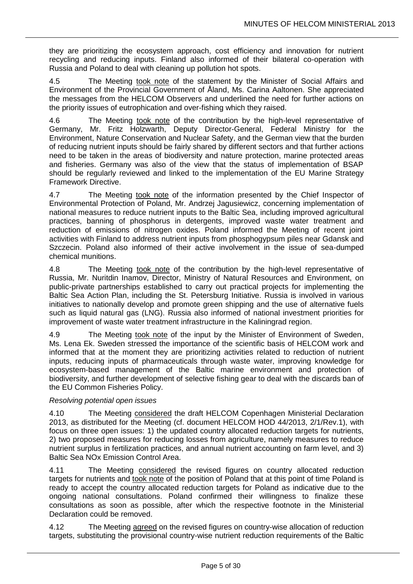they are prioritizing the ecosystem approach, cost efficiency and innovation for nutrient recycling and reducing inputs. Finland also informed of their bilateral co-operation with Russia and Poland to deal with cleaning up pollution hot spots.

4.5 The Meeting took note of the statement by the Minister of Social Affairs and Environment of the Provincial Government of Åland, Ms. Carina Aaltonen. She appreciated the messages from the HELCOM Observers and underlined the need for further actions on the priority issues of eutrophication and over-fishing which they raised.

4.6 The Meeting took note of the contribution by the high-level representative of Germany, Mr. Fritz Holzwarth, Deputy Director-General, Federal Ministry for the Environment, Nature Conservation and Nuclear Safety, and the German view that the burden of reducing nutrient inputs should be fairly shared by different sectors and that further actions need to be taken in the areas of biodiversity and nature protection, marine protected areas and fisheries. Germany was also of the view that the status of implementation of BSAP should be regularly reviewed and linked to the implementation of the EU Marine Strategy Framework Directive.

4.7 The Meeting took note of the information presented by the Chief Inspector of Environmental Protection of Poland, Mr. Andrzej Jagusiewicz, concerning implementation of national measures to reduce nutrient inputs to the Baltic Sea, including improved agricultural practices, banning of phosphorus in detergents, improved waste water treatment and reduction of emissions of nitrogen oxides. Poland informed the Meeting of recent joint activities with Finland to address nutrient inputs from phosphogypsum piles near Gdansk and Szczecin. Poland also informed of their active involvement in the issue of sea-dumped chemical munitions.

4.8 The Meeting took note of the contribution by the high-level representative of Russia, Mr. Nuritdin Inamov, Director, Ministry of Natural Resources and Environment, on public-private partnerships established to carry out practical projects for implementing the Baltic Sea Action Plan, including the St. Petersburg Initiative. Russia is involved in various initiatives to nationally develop and promote green shipping and the use of alternative fuels such as liquid natural gas (LNG). Russia also informed of national investment priorities for improvement of waste water treatment infrastructure in the Kaliningrad region.

4.9 The Meeting took note of the input by the Minister of Environment of Sweden, Ms. Lena Ek. Sweden stressed the importance of the scientific basis of HELCOM work and informed that at the moment they are prioritizing activities related to reduction of nutrient inputs, reducing inputs of pharmaceuticals through waste water, improving knowledge for ecosystem-based management of the Baltic marine environment and protection of biodiversity, and further development of selective fishing gear to deal with the discards ban of the EU Common Fisheries Policy.

# *Resolving potential open issues*

4.10 The Meeting considered the draft HELCOM Copenhagen Ministerial Declaration 2013, as distributed for the Meeting (cf. document HELCOM HOD 44/2013, 2/1/Rev.1), with focus on three open issues: 1) the updated country allocated reduction targets for nutrients, 2) two proposed measures for reducing losses from agriculture, namely measures to reduce nutrient surplus in fertilization practices, and annual nutrient accounting on farm level, and 3) Baltic Sea NOx Emission Control Area.

4.11 The Meeting considered the revised figures on country allocated reduction targets for nutrients and took note of the position of Poland that at this point of time Poland is ready to accept the country allocated reduction targets for Poland as indicative due to the ongoing national consultations. Poland confirmed their willingness to finalize these consultations as soon as possible, after which the respective footnote in the Ministerial Declaration could be removed.

4.12 The Meeting agreed on the revised figures on country-wise allocation of reduction targets, substituting the provisional country-wise nutrient reduction requirements of the Baltic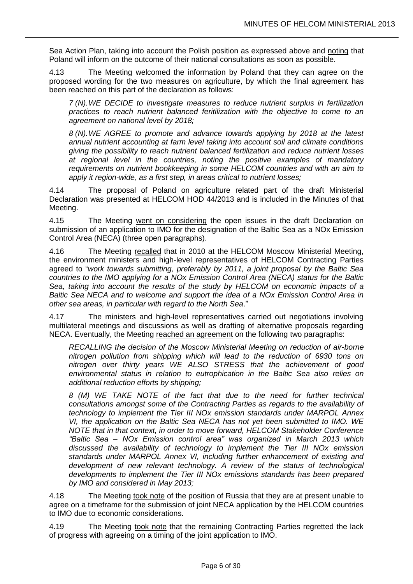Sea Action Plan, taking into account the Polish position as expressed above and noting that Poland will inform on the outcome of their national consultations as soon as possible.

4.13 The Meeting welcomed the information by Poland that they can agree on the proposed wording for the two measures on agriculture, by which the final agreement has been reached on this part of the declaration as follows:

*7 (N).WE DECIDE to investigate measures to reduce nutrient surplus in fertilization practices to reach nutrient balanced feritilization with the objective to come to an agreement on national level by 2018;*

*8 (N).WE AGREE to promote and advance towards applying by 2018 at the latest annual nutrient accounting at farm level taking into account soil and climate conditions giving the possibility to reach nutrient balanced fertilization and reduce nutrient losses at regional level in the countries, noting the positive examples of mandatory requirements on nutrient bookkeeping in some HELCOM countries and with an aim to apply it region-wide, as a first step, in areas critical to nutrient losses;*

4.14 The proposal of Poland on agriculture related part of the draft Ministerial Declaration was presented at HELCOM HOD 44/2013 and is included in the Minutes of that Meeting.

4.15 The Meeting went on considering the open issues in the draft Declaration on submission of an application to IMO for the designation of the Baltic Sea as a NOx Emission Control Area (NECA) (three open paragraphs).

4.16 The Meeting recalled that in 2010 at the HELCOM Moscow Ministerial Meeting, the environment ministers and high-level representatives of HELCOM Contracting Parties agreed to "*work towards submitting, preferably by 2011, a joint proposal by the Baltic Sea countries to the IMO applying for a NOx Emission Control Area (NECA) status for the Baltic Sea, taking into account the results of the study by HELCOM on economic impacts of a Baltic Sea NECA and to welcome and support the idea of a NOx Emission Control Area in other sea areas, in particular with regard to the North Sea*."

4.17 The ministers and high-level representatives carried out negotiations involving multilateral meetings and discussions as well as drafting of alternative proposals regarding NECA. Eventually, the Meeting reached an agreement on the following two paragraphs:

*RECALLING the decision of the Moscow Ministerial Meeting on reduction of air-borne nitrogen pollution from shipping which will lead to the reduction of 6930 tons on nitrogen over thirty years WE ALSO STRESS that the achievement of good environmental status in relation to eutrophication in the Baltic Sea also relies on additional reduction efforts by shipping;*

*8 (M) WE TAKE NOTE of the fact that due to the need for further technical consultations amongst some of the Contracting Parties as regards to the availability of technology to implement the Tier III NOx emission standards under MARPOL Annex VI, the application on the Baltic Sea NECA has not yet been submitted to IMO. WE NOTE that in that context, in order to move forward, HELCOM Stakeholder Conference "Baltic Sea – NOx Emission control area" was organized in March 2013 which discussed the availability of technology to implement the Tier III NOx emission standards under MARPOL Annex VI, including further enhancement of existing and development of new relevant technology. A review of the status of technological developments to implement the Tier III NOx emissions standards has been prepared by IMO and considered in May 2013;*

4.18 The Meeting took note of the position of Russia that they are at present unable to agree on a timeframe for the submission of joint NECA application by the HELCOM countries to IMO due to economic considerations.

4.19 The Meeting took note that the remaining Contracting Parties regretted the lack of progress with agreeing on a timing of the joint application to IMO.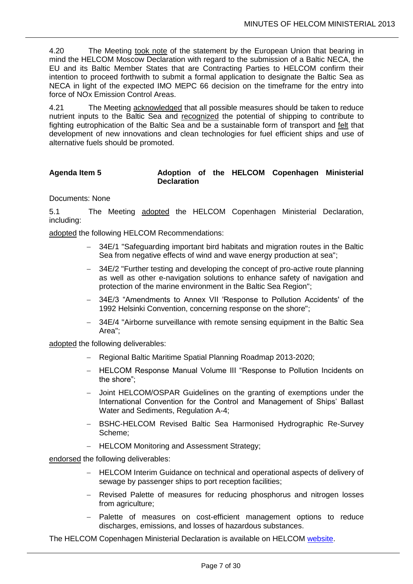4.20 The Meeting took note of the statement by the European Union that bearing in mind the HELCOM Moscow Declaration with regard to the submission of a Baltic NECA, the EU and its Baltic Member States that are Contracting Parties to HELCOM confirm their intention to proceed forthwith to submit a formal application to designate the Baltic Sea as NECA in light of the expected IMO MEPC 66 decision on the timeframe for the entry into force of NOx Emission Control Areas.

4.21 The Meeting acknowledged that all possible measures should be taken to reduce nutrient inputs to the Baltic Sea and recognized the potential of shipping to contribute to fighting eutrophication of the Baltic Sea and be a sustainable form of transport and felt that development of new innovations and clean technologies for fuel efficient ships and use of alternative fuels should be promoted.

# <span id="page-6-0"></span>Agenda Item 5 **Adoption of the HELCOM Copenhagen Ministerial Declaration**

Documents: None

5.1 The Meeting adopted the HELCOM Copenhagen Ministerial Declaration, including:

adopted the following HELCOM Recommendations:

- 34E/1 "Safeguarding important bird habitats and migration routes in the Baltic Sea from negative effects of wind and wave energy production at sea";
- 34E/2 "Further testing and developing the concept of pro-active route planning as well as other e-navigation solutions to enhance safety of navigation and protection of the marine environment in the Baltic Sea Region";
- 34E/3 "Amendments to Annex VII 'Response to Pollution Accidents' of the 1992 Helsinki Convention, concerning response on the shore";
- 34E/4 "Airborne surveillance with remote sensing equipment in the Baltic Sea Area";

adopted the following deliverables:

- Regional Baltic Maritime Spatial Planning Roadmap 2013-2020;
- HELCOM Response Manual Volume III "Response to Pollution Incidents on the shore";
- Joint HELCOM/OSPAR Guidelines on the granting of exemptions under the International Convention for the Control and Management of Ships' Ballast Water and Sediments, Regulation A-4;
- BSHC-HELCOM Revised Baltic Sea Harmonised Hydrographic Re-Survey Scheme;
- HELCOM Monitoring and Assessment Strategy;

endorsed the following deliverables:

- HELCOM Interim Guidance on technical and operational aspects of delivery of sewage by passenger ships to port reception facilities;
- Revised Palette of measures for reducing phosphorus and nitrogen losses from agriculture;
- Palette of measures on cost-efficient management options to reduce discharges, emissions, and losses of hazardous substances.

The HELCOM Copenhagen Ministerial Declaration is available on HELCOM [website.](http://www.helcom.fi/Documents/Ministerial2013/Ministerial%20declaration/2013%20Copenhagen%20Ministerial%20Declaration.pdf)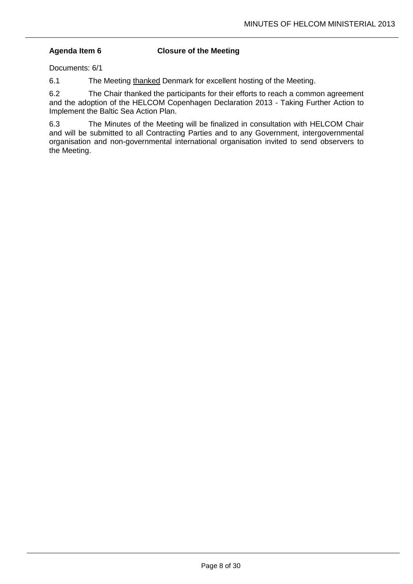# <span id="page-7-0"></span>**Agenda Item 6 Closure of the Meeting**

Documents: 6/1

6.1 The Meeting thanked Denmark for excellent hosting of the Meeting.

6.2 The Chair thanked the participants for their efforts to reach a common agreement and the adoption of the HELCOM Copenhagen Declaration 2013 - Taking Further Action to Implement the Baltic Sea Action Plan.

6.3 The Minutes of the Meeting will be finalized in consultation with HELCOM Chair and will be submitted to all Contracting Parties and to any Government, intergovernmental organisation and non-governmental international organisation invited to send observers to the Meeting.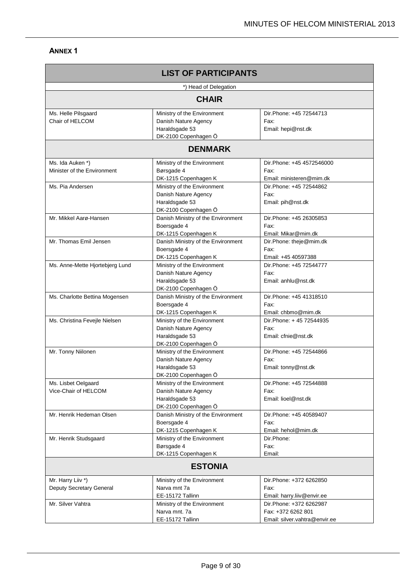| <b>LIST OF PARTICIPANTS</b>                     |                                                                                               |                                                                                |  |
|-------------------------------------------------|-----------------------------------------------------------------------------------------------|--------------------------------------------------------------------------------|--|
| *) Head of Delegation                           |                                                                                               |                                                                                |  |
|                                                 | <b>CHAIR</b>                                                                                  |                                                                                |  |
| Ms. Helle Pilsgaard<br>Chair of HELCOM          | Ministry of the Environment<br>Danish Nature Agency<br>Haraldsgade 53<br>DK-2100 Copenhagen Ö | Dir.Phone: +45 72544713<br>Fax:<br>Email: hepi@nst.dk                          |  |
|                                                 | <b>DENMARK</b>                                                                                |                                                                                |  |
| Ms. Ida Auken *)<br>Minister of the Environment | Ministry of the Environment<br>Børsgade 4<br>DK-1215 Copenhagen K                             | Dir. Phone: +45 4572546000<br>Fax:<br>Email: ministeren@mim.dk                 |  |
| Ms. Pia Andersen                                | Ministry of the Environment<br>Danish Nature Agency<br>Haraldsgade 53<br>DK-2100 Copenhagen Ö | Dir.Phone: +45 72544862<br>Fax:<br>Email: pih@nst.dk                           |  |
| Mr. Mikkel Aarø-Hansen                          | Danish Ministry of the Environment<br>Boersgade 4<br>DK-1215 Copenhagen K                     | Dir.Phone: +45 26305853<br>Fax:<br>Email: Mikar@mim.dk                         |  |
| Mr. Thomas Emil Jensen                          | Danish Ministry of the Environment<br>Boersgade 4<br>DK-1215 Copenhagen K                     | Dir.Phone: theje@mim.dk<br>Fax:<br>Email: +45 40597388                         |  |
| Ms. Anne-Mette Hjortebjerg Lund                 | Ministry of the Environment<br>Danish Nature Agency<br>Haraldsgade 53<br>DK-2100 Copenhagen Ö | Dir.Phone: +45 72544777<br>Fax:<br>Email: anhlu@nst.dk                         |  |
| Ms. Charlotte Bettina Mogensen                  | Danish Ministry of the Environment<br>Boersgade 4<br>DK-1215 Copenhagen K                     | Dir. Phone: +45 41318510<br>Fax:<br>Email: chbmo@mim.dk                        |  |
| Ms. Christina Fevejle Nielsen                   | Ministry of the Environment<br>Danish Nature Agency<br>Haraldsgade 53<br>DK-2100 Copenhagen Ö | Dir. Phone: +45 72544935<br>Fax:<br>Email: cfnie@nst.dk                        |  |
| Mr. Tonny Niilonen                              | Ministry of the Environment<br>Danish Nature Agency<br>Haraldsgade 53<br>DK-2100 Copenhagen Ö | Dir.Phone: +45 72544866<br>Fax:<br>Email: tonny@nst.dk                         |  |
| Ms. Lisbet Oelgaard<br>Vice-Chair of HELCOM     | Ministry of the Environment<br>Danish Nature Agency<br>Haraldsgade 53<br>DK-2100 Copenhagen Ö | Dir.Phone: +45 72544888<br>Fax:<br>Email: lioel@nst.dk                         |  |
| Mr. Henrik Hedeman Olsen                        | Danish Ministry of the Environment<br>Boersgade 4<br>DK-1215 Copenhagen K                     | Dir.Phone: +45 40589407<br>Fax:<br>Email: hehol@mim.dk                         |  |
| Mr. Henrik Studsgaard                           | Ministry of the Environment<br>Børsgade 4<br>DK-1215 Copenhagen K                             | Dir.Phone:<br>Fax:<br>Email:                                                   |  |
| <b>ESTONIA</b>                                  |                                                                                               |                                                                                |  |
| Mr. Harry Liiv *)<br>Deputy Secretary General   | Ministry of the Environment<br>Narva mnt 7a<br>EE-15172 Tallinn                               | Dir.Phone: +372 6262850<br>Fax:<br>Email: harry.liiv@envir.ee                  |  |
| Mr. Silver Vahtra                               | Ministry of the Environment<br>Narva mnt. 7a<br>EE-15172 Tallinn                              | Dir.Phone: +372 6262987<br>Fax: +372 6262 801<br>Email: silver.vahtra@envir.ee |  |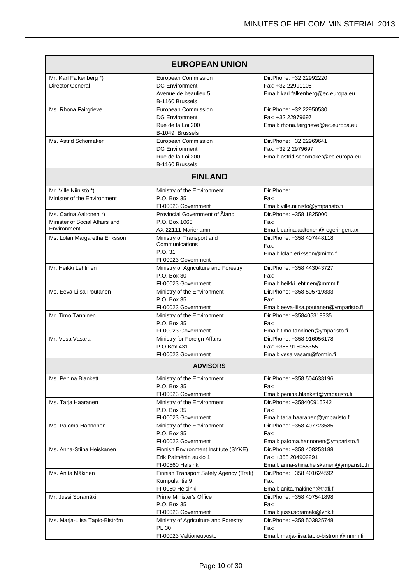| Mr. Karl Falkenberg *)<br>European Commission<br>Dir.Phone: +32 22992220<br><b>Director General</b><br><b>DG Environment</b><br>Fax: +32 22991105<br>Avenue de beaulieu 5<br>Email: karl.falkenberg@ec.europa.eu<br>B-1160 Brussels<br>Dir.Phone: +32 22950580<br>Ms. Rhona Fairgrieve<br>European Commission<br><b>DG Environment</b><br>Fax: +32 22979697 |  |
|-------------------------------------------------------------------------------------------------------------------------------------------------------------------------------------------------------------------------------------------------------------------------------------------------------------------------------------------------------------|--|
|                                                                                                                                                                                                                                                                                                                                                             |  |
|                                                                                                                                                                                                                                                                                                                                                             |  |
|                                                                                                                                                                                                                                                                                                                                                             |  |
|                                                                                                                                                                                                                                                                                                                                                             |  |
|                                                                                                                                                                                                                                                                                                                                                             |  |
| Rue de la Loi 200<br>Email: rhona.fairgrieve@ec.europa.eu                                                                                                                                                                                                                                                                                                   |  |
| B-1049 Brussels                                                                                                                                                                                                                                                                                                                                             |  |
| Ms. Astrid Schomaker<br>Dir.Phone: +32 22969641<br>European Commission                                                                                                                                                                                                                                                                                      |  |
| <b>DG Environment</b><br>Fax: +32 2 2979697                                                                                                                                                                                                                                                                                                                 |  |
| Rue de la Loi 200<br>Email: astrid.schomaker@ec.europa.eu                                                                                                                                                                                                                                                                                                   |  |
| B-1160 Brussels                                                                                                                                                                                                                                                                                                                                             |  |
| <b>FINLAND</b>                                                                                                                                                                                                                                                                                                                                              |  |
| Mr. Ville Niinistö*)<br>Dir.Phone:<br>Ministry of the Environment                                                                                                                                                                                                                                                                                           |  |
| Minister of the Environment<br>P.O. Box 35<br>Fax:                                                                                                                                                                                                                                                                                                          |  |
| FI-00023 Government<br>Email: ville.niinisto@ymparisto.fi                                                                                                                                                                                                                                                                                                   |  |
| Provincial Government of Åland<br>Ms. Carina Aaltonen *)<br>Dir.Phone: +358 1825000                                                                                                                                                                                                                                                                         |  |
| Minister of Social Affairs and<br>P.O. Box 1060<br>Fax:<br>Environment<br>AX-22111 Mariehamn<br>Email: carina.aaltonen@regeringen.ax                                                                                                                                                                                                                        |  |
| Ministry of Transport and<br>Dir.Phone: +358 407448118<br>Ms. Lolan Margaretha Eriksson                                                                                                                                                                                                                                                                     |  |
| Communications<br>Fax:                                                                                                                                                                                                                                                                                                                                      |  |
| P.O. 31<br>Email: Iolan.eriksson@mintc.fi                                                                                                                                                                                                                                                                                                                   |  |
| FI-00023 Government                                                                                                                                                                                                                                                                                                                                         |  |
| Mr. Heikki Lehtinen<br>Ministry of Agriculture and Forestry<br>Dir.Phone: +358 443043727                                                                                                                                                                                                                                                                    |  |
| P.O. Box 30<br>Fax:                                                                                                                                                                                                                                                                                                                                         |  |
| FI-00023 Government<br>Email: heikki.lehtinen@mmm.fi                                                                                                                                                                                                                                                                                                        |  |
| Ms. Eeva-Liisa Poutanen<br>Dir. Phone: +358 505719333<br>Ministry of the Environment                                                                                                                                                                                                                                                                        |  |
| P.O. Box 35<br>Fax:<br>FI-00023 Government<br>Email: eeva-liisa.poutanen@ymparisto.fi                                                                                                                                                                                                                                                                       |  |
| Mr. Timo Tanninen<br>Dir.Phone: +358405319335<br>Ministry of the Environment                                                                                                                                                                                                                                                                                |  |
| P.O. Box 35<br>Fax:                                                                                                                                                                                                                                                                                                                                         |  |
| FI-00023 Government<br>Email: timo.tanninen@ymparisto.fi                                                                                                                                                                                                                                                                                                    |  |
| Mr. Vesa Vasara<br>Ministry for Foreign Affairs<br>Dir.Phone: +358 916056178                                                                                                                                                                                                                                                                                |  |
| P.O.Box 431<br>Fax: +358 916055355                                                                                                                                                                                                                                                                                                                          |  |
| FI-00023 Government<br>Email: vesa.vasara@formin.fi                                                                                                                                                                                                                                                                                                         |  |
| <b>ADVISORS</b>                                                                                                                                                                                                                                                                                                                                             |  |
| Ms. Penina Blankett<br>Ministry of the Environment<br>Dir.Phone: +358 504638196                                                                                                                                                                                                                                                                             |  |
| P.O. Box 35<br>Fax:                                                                                                                                                                                                                                                                                                                                         |  |
| FI-00023 Government<br>Email: penina.blankett@ymparisto.fi                                                                                                                                                                                                                                                                                                  |  |
| Dir.Phone: +358400915242<br>Ms. Tarja Haaranen<br>Ministry of the Environment                                                                                                                                                                                                                                                                               |  |
| P.O. Box 35<br>Fax:<br>FI-00023 Government<br>Email: tarja.haaranen@ymparisto.fi                                                                                                                                                                                                                                                                            |  |
| Ms. Paloma Hannonen<br>Ministry of the Environment<br>Dir. Phone: +358 407723585                                                                                                                                                                                                                                                                            |  |
| P.O. Box 35<br>Fax:                                                                                                                                                                                                                                                                                                                                         |  |
| FI-00023 Government<br>Email: paloma.hannonen@ymparisto.fi                                                                                                                                                                                                                                                                                                  |  |
| Ms. Anna-Stiina Heiskanen<br>Finnish Environment Institute (SYKE)<br>Dir. Phone: +358 408258188                                                                                                                                                                                                                                                             |  |
| Erik Palménin aukio 1<br>Fax: +358 204902291                                                                                                                                                                                                                                                                                                                |  |
| FI-00560 Helsinki<br>Email: anna-stiina.heiskanen@ymparisto.fi                                                                                                                                                                                                                                                                                              |  |
| Finnish Transport Safety Agency (Trafi)<br>Ms. Anita Mäkinen<br>Dir.Phone: +358 401624592                                                                                                                                                                                                                                                                   |  |
| Kumpulantie 9<br>Fax:                                                                                                                                                                                                                                                                                                                                       |  |
| FI-0050 Helsinki<br>Email: anita.makinen@trafi.fi                                                                                                                                                                                                                                                                                                           |  |
| Mr. Jussi Soramäki<br>Prime Minister's Office<br>Dir.Phone: +358 407541898                                                                                                                                                                                                                                                                                  |  |
| P.O. Box 35<br>Fax:                                                                                                                                                                                                                                                                                                                                         |  |
| FI-00023 Government<br>Email: jussi.soramaki@vnk.fi<br>Ms. Marja-Liisa Tapio-Biström<br>Ministry of Agriculture and Forestry<br>Dir.Phone: +358 503825748                                                                                                                                                                                                   |  |
| <b>PL 30</b><br>Fax:                                                                                                                                                                                                                                                                                                                                        |  |
| FI-00023 Valtioneuvosto<br>Email: marja-liisa.tapio-bistrom@mmm.fi                                                                                                                                                                                                                                                                                          |  |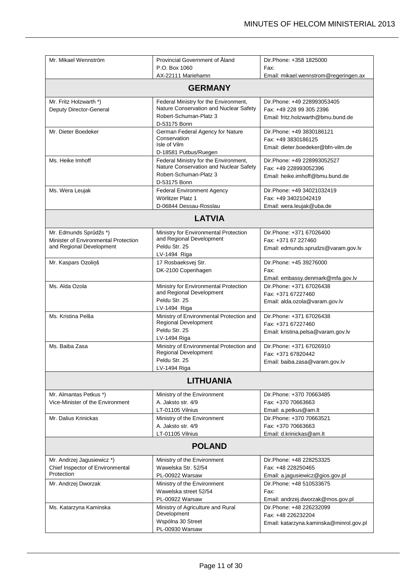| Mr. Mikael Wennström                                                                       | Provincial Government of Aland<br>P.O. Box 1060<br>AX-22111 Mariehamn                                                     | Dir. Phone: +358 1825000<br>Fax:<br>Email: mikael.wennstrom@regeringen.ax                     |  |
|--------------------------------------------------------------------------------------------|---------------------------------------------------------------------------------------------------------------------------|-----------------------------------------------------------------------------------------------|--|
| <b>GERMANY</b>                                                                             |                                                                                                                           |                                                                                               |  |
| Mr. Fritz Holzwarth *)<br>Deputy Director-General                                          | Federal Ministry for the Environment,<br>Nature Conservation and Nuclear Safety<br>Robert-Schuman-Platz 3<br>D-53175 Bonn | Dir.Phone: +49 228993053405<br>Fax: +49 228 99 305 2396<br>Email: fritz.holzwarth@bmu.bund.de |  |
| Mr. Dieter Boedeker                                                                        | German Federal Agency for Nature<br>Conservation<br>Isle of Vilm<br>D-18581 Putbus/Ruegen                                 | Dir. Phone: +49 3830186121<br>Fax: +49 3830186125<br>Email: dieter.boedeker@bfn-vilm.de       |  |
| Ms. Heike Imhoff                                                                           | Federal Ministry for the Environment,<br>Nature Conservation and Nuclear Safety<br>Robert-Schuman-Platz 3<br>D-53175 Bonn | Dir.Phone: +49 228993052527<br>Fax: +49 228993052396<br>Email: heike.imhoff@bmu.bund.de       |  |
| Ms. Wera Leujak                                                                            | <b>Federal Environment Agency</b><br>Wörlitzer Platz 1<br>D-06844 Dessau-Rosslau                                          | Dir.Phone: +49 34021032419<br>Fax: +49 34021042419<br>Email: wera.leujak@uba.de               |  |
|                                                                                            | <b>LATVIA</b>                                                                                                             |                                                                                               |  |
| Mr. Edmunds Sprūdžs *)<br>Minister of Environmental Protection<br>and Regional Development | Ministry for Environmental Protection<br>and Regional Development<br>Peldu Str. 25<br>LV-1494 Riga                        | Dir.Phone: +371 67026400<br>Fax: +371 67 227460<br>Email: edmunds.sprudzs@varam.gov.lv        |  |
| Mr. Kaspars Ozoliņš                                                                        | 17 Rosbaeksvej Str.<br>DK-2100 Copenhagen                                                                                 | Dir.Phone: +45 39276000<br>Fax:<br>Email: embassy.denmark@mfa.gov.lv                          |  |
| Ms. Alda Ozola                                                                             | Ministry for Environmental Protection<br>and Regional Development<br>Peldu Str. 25<br>LV-1494 Riga                        | Dir. Phone: +371 67026438<br>Fax: +371 67227460<br>Email: alda.ozola@varam.gov.lv             |  |
| Ms. Kristina Pelša                                                                         | Ministry of Environmental Protection and<br>Regional Development<br>Peldu Str. 25<br>LV-1494 Riga                         | Dir. Phone: +371 67026438<br>Fax: +371 67227460<br>Email: kristina.pelsa@varam.gov.lv         |  |
| Ms. Baiba Zasa                                                                             | Ministry of Environmental Protection and<br>Regional Development<br>Peldu Str. 25<br>LV-1494 Riga                         | Dir.Phone: +371 67026910<br>Fax: +371 67820442<br>Email: baiba.zasa@varam.gov.lv              |  |
|                                                                                            | <b>LITHUANIA</b>                                                                                                          |                                                                                               |  |
| Mr. Almantas Petkus *)<br>Vice-Minister of the Environment                                 | Ministry of the Environment<br>A. Jaksto str. 4/9<br>LT-01105 Vilnius                                                     | Dir.Phone: +370 70663485<br>Fax: +370 70663663<br>Email: a.petkus@am.lt                       |  |
| Mr. Dalius Krinickas                                                                       | Ministry of the Environment<br>A. Jaksto str. 4/9<br>LT-01105 Vilnius                                                     | Dir.Phone: +370 70663521<br>Fax: +370 70663663<br>Email: d.krinickas@am.lt                    |  |
| <b>POLAND</b>                                                                              |                                                                                                                           |                                                                                               |  |
| Mr. Andrzej Jagusiewicz *)<br>Chief Inspector of Environmental<br>Protection               | Ministry of the Environment<br>Wawelska Str. 52/54<br>PL-00922 Warsaw                                                     | Dir. Phone: +48 228253325<br>Fax: +48 228250465<br>Email: a.jagusiewicz@gios.gov.pl           |  |
| Mr. Andrzej Dworzak                                                                        | Ministry of the Environment<br>Wawelska street 52/54<br>PL-00922 Warsaw                                                   | Dir. Phone: +48 510533675<br>Fax:<br>Email: andrzej.dworzak@mos.gov.pl                        |  |
| Ms. Katarzyna Kaminska                                                                     | Ministry of Agriculture and Rural<br>Development<br>Wspólna 30 Street<br>PL-00930 Warsaw                                  | Dir. Phone: +48 226232099<br>Fax: +48 226232204<br>Email: katarzyna.kaminska@minrol.gov.pl    |  |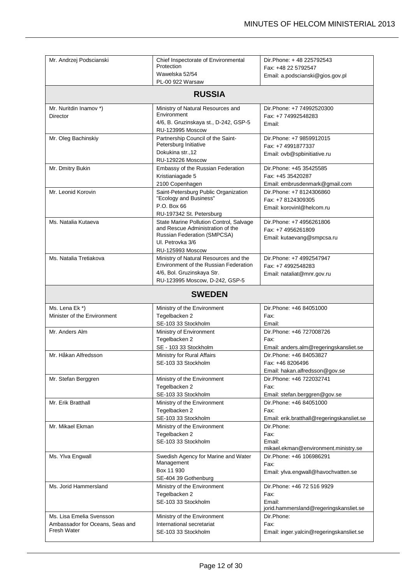| Mr. Andrzej Podscianski         | Chief Inspectorate of Environmental                        | Dir.Phone: +48 225792543                       |
|---------------------------------|------------------------------------------------------------|------------------------------------------------|
|                                 | Protection                                                 | Fax: +48 22 5792547                            |
|                                 | Wawelska 52/54<br>PL-00 922 Warsaw                         | Email: a.podscianski@gios.gov.pl               |
|                                 |                                                            |                                                |
|                                 | <b>RUSSIA</b>                                              |                                                |
| Mr. Nuritdin Inamov *)          | Ministry of Natural Resources and                          | Dir.Phone: +7 74992520300                      |
| Director                        | Environment<br>4/6, B. Gruzinskaya st., D-242, GSP-5       | Fax: +7 74992548283                            |
|                                 | <b>RU-123995 Moscow</b>                                    | Email:                                         |
| Mr. Oleg Bachinskiy             | Partnership Council of the Saint-<br>Petersburg Initiative | Dir.Phone: +7 9859912015<br>Fax: +7 4991877337 |
|                                 | Dokukina str., 12<br><b>RU-129226 Moscow</b>               | Email: ovb@spbinitiative.ru                    |
| Mr. Dmitry Bukin                | Embassy of the Russian Federation                          | Dir.Phone: +45 35425585                        |
|                                 | Kristianiagade 5                                           | Fax: +45 35420287                              |
|                                 | 2100 Copenhagen                                            | Email: embrusdenmark@gmail.com                 |
| Mr. Leonid Korovin              | Saint-Petersburg Public Organization                       | Dir.Phone: +7 8124306860                       |
|                                 | "Ecology and Business"                                     | Fax: +7 8124309305                             |
|                                 | P.O. Box 66<br>RU-197342 St. Petersburg                    | Email: korovinl@helcom.ru                      |
| Ms. Natalia Kutaeva             | State Marine Pollution Control, Salvage                    | Dir.Phone: +7 4956261806                       |
|                                 | and Rescue Administration of the                           | Fax: +7 4956261809                             |
|                                 | Russian Federation (SMPCSA)<br>UI. Petrovka 3/6            | Email: kutaevang@smpcsa.ru                     |
|                                 | RU-125993 Moscow                                           |                                                |
| Ms. Natalia Tretiakova          | Ministry of Natural Resources and the                      | Dir.Phone: +7 4992547947                       |
|                                 | Environment of the Russian Federation                      | Fax: +7 4992548283                             |
|                                 | 4/6, Bol. Gruzinskaya Str.                                 | Email: nataliat@mnr.gov.ru                     |
|                                 | RU-123995 Moscow, D-242, GSP-5                             |                                                |
|                                 | <b>SWEDEN</b>                                              |                                                |
|                                 |                                                            |                                                |
| Ms. Lena Ek*)                   | Ministry of the Environment                                | Dir. Phone: +46 84051000                       |
| Minister of the Environment     | Tegelbacken 2                                              | Fax:<br>Fmail:                                 |
| Mr. Anders Alm                  | SE-103 33 Stockholm<br>Ministry of Environment             | Dir.Phone: +46 727008726                       |
|                                 | Tegelbacken 2                                              | Fax:                                           |
|                                 | SE - 103 33 Stockholm                                      | Email: anders.alm@regeringskansliet.se         |
| Mr. Håkan Alfredsson            | Ministry for Rural Affairs                                 | Dir.Phone: +46 84053827                        |
|                                 | SE-103 33 Stockholm                                        | Fax: +46 8206496                               |
|                                 |                                                            | Email: hakan.alfredsson@gov.se                 |
| Mr. Stefan Berggren             | Ministry of the Environment                                | Dir.Phone: +46 722032741                       |
|                                 | Tegelbacken 2                                              | Fax:                                           |
|                                 | SE-103 33 Stockholm                                        | Email: stefan.berggren@gov.se                  |
| Mr. Erik Bratthall              | Ministry of the Environment                                | Dir. Phone: +46 84051000                       |
|                                 | Tegelbacken 2                                              | Fax:                                           |
|                                 | SE-103 33 Stockholm                                        | Email: erik.bratthall@regeringskansliet.se     |
| Mr. Mikael Ekman                | Ministry of the Environment                                | Dir.Phone:                                     |
|                                 | Tegelbacken 2                                              | Fax:                                           |
|                                 | SE-103 33 Stockholm                                        | Email:                                         |
|                                 |                                                            | mikael.ekman@environment.ministry.se           |
| Ms. Ylva Engwall                | Swedish Agency for Marine and Water<br>Management          | Dir.Phone: +46 106986291<br>Fax:               |
|                                 | Box 11 930                                                 | Email: ylva.engwall@havochvatten.se            |
|                                 | SE-404 39 Gothenburg                                       |                                                |
| Ms. Jorid Hammersland           | Ministry of the Environment                                | Dir.Phone: +46 72 516 9929                     |
|                                 | Tegelbacken 2                                              | Fax:                                           |
|                                 | SE-103 33 Stockholm                                        | Email:                                         |
|                                 |                                                            | jorid.hammersland@regeringskansliet.se         |
| Ms. Lisa Emelia Svensson        | Ministry of the Environment                                | Dir.Phone:                                     |
| Ambassador for Oceans, Seas and | International secretariat                                  | Fax:                                           |
| <b>Fresh Water</b>              | SE-103 33 Stockholm                                        | Email: inger.yalcin@regeringskansliet.se       |
|                                 |                                                            |                                                |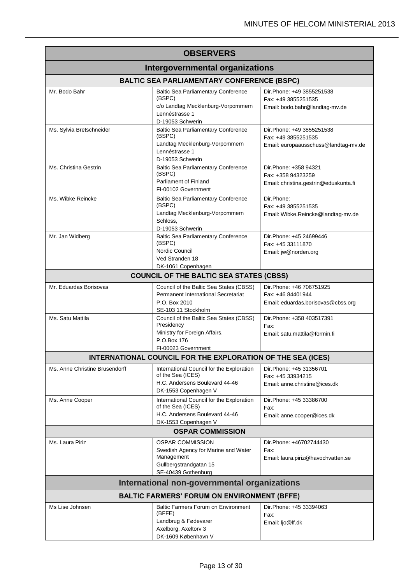| <b>OBSERVERS</b>                                   |                                                                                                                                  |                                                                                           |  |
|----------------------------------------------------|----------------------------------------------------------------------------------------------------------------------------------|-------------------------------------------------------------------------------------------|--|
| <b>Intergovernmental organizations</b>             |                                                                                                                                  |                                                                                           |  |
| <b>BALTIC SEA PARLIAMENTARY CONFERENCE (BSPC)</b>  |                                                                                                                                  |                                                                                           |  |
| Mr. Bodo Bahr                                      | <b>Baltic Sea Parliamentary Conference</b><br>(BSPC)<br>c/o Landtag Mecklenburg-Vorpommern<br>Lennéstrasse 1<br>D-19053 Schwerin | Dir. Phone: +49 3855251538<br>Fax: +49 3855251535<br>Email: bodo.bahr@landtag-mv.de       |  |
| Ms. Sylvia Bretschneider                           | <b>Baltic Sea Parliamentary Conference</b><br>(BSPC)<br>Landtag Mecklenburg-Vorpommern<br>Lennéstrasse 1<br>D-19053 Schwerin     | Dir. Phone: +49 3855251538<br>Fax: +49 3855251535<br>Email: europaausschuss@landtag-mv.de |  |
| Ms. Christina Gestrin                              | <b>Baltic Sea Parliamentary Conference</b><br>(BSPC)<br>Parliament of Finland<br>FI-00102 Government                             | Dir. Phone: +358 94321<br>Fax: +358 94323259<br>Email: christina.gestrin@eduskunta.fi     |  |
| Ms. Wibke Reincke                                  | <b>Baltic Sea Parliamentary Conference</b><br>(BSPC)<br>Landtag Mecklenburg-Vorpommern<br>Schloss.<br>D-19053 Schwerin           | Dir.Phone:<br>Fax: +49 3855251535<br>Email: Wibke.Reincke@landtag-mv.de                   |  |
| Mr. Jan Widberg                                    | <b>Baltic Sea Parliamentary Conference</b><br>(BSPC)<br>Nordic Council<br>Ved Stranden 18<br>DK-1061 Copenhagen                  | Dir.Phone: +45 24699446<br>Fax: +45 33111870<br>Email: jw@norden.org                      |  |
|                                                    | <b>COUNCIL OF THE BALTIC SEA STATES (CBSS)</b>                                                                                   |                                                                                           |  |
| Mr. Eduardas Borisovas                             | Council of the Baltic Sea States (CBSS)<br>Permanent International Secretariat<br>P.O. Box 2010<br>SE-103 11 Stockholm           | Dir.Phone: +46 706751925<br>Fax: +46 84401944<br>Email: eduardas.borisovas@cbss.org       |  |
| Ms. Satu Mattila                                   | Council of the Baltic Sea States (CBSS)<br>Presidency<br>Ministry for Foreign Affairs,<br>P.O.Box 176<br>FI-00023 Government     | Dir.Phone: +358 403517391<br>Fax:<br>Email: satu.mattila@formin.fi                        |  |
|                                                    | INTERNATIONAL COUNCIL FOR THE EXPLORATION OF THE SEA (ICES)                                                                      |                                                                                           |  |
| Ms. Anne Christine Brusendorff                     | International Council for the Exploration<br>of the Sea (ICES)<br>H.C. Andersens Boulevard 44-46<br>DK-1553 Copenhagen V         | Dir. Phone: +45 31356701<br>Fax: +45 33934215<br>Email: anne.christine@ices.dk            |  |
| Ms. Anne Cooper                                    | International Council for the Exploration<br>of the Sea (ICES)<br>H.C. Andersens Boulevard 44-46<br>DK-1553 Copenhagen V         | Dir.Phone: +45 33386700<br>Fax:<br>Email: anne.cooper@ices.dk                             |  |
| <b>OSPAR COMMISSION</b>                            |                                                                                                                                  |                                                                                           |  |
| Ms. Laura Piriz                                    | <b>OSPAR COMMISSION</b><br>Swedish Agency for Marine and Water<br>Management<br>Gullbergstrandgatan 15<br>SE-40439 Gothenburg    | Dir.Phone: +46702744430<br>Fax:<br>Email: laura.piriz@havochvatten.se                     |  |
|                                                    | International non-governmental organizations                                                                                     |                                                                                           |  |
| <b>BALTIC FARMERS' FORUM ON ENVIRONMENT (BFFE)</b> |                                                                                                                                  |                                                                                           |  |
| Ms Lise Johnsen                                    | <b>Baltic Farmers Forum on Environment</b><br>(BFFE)<br>Landbrug & Fødevarer<br>Axelborg, Axeltorv 3<br>DK-1609 København V      | Dir. Phone: +45 33394063<br>Fax:<br>Email: ljo@lf.dk                                      |  |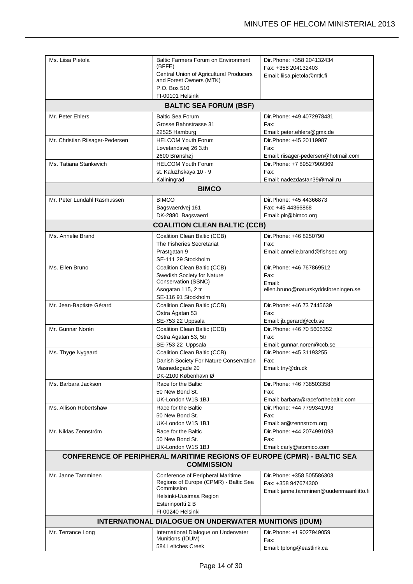| Ms. Liisa Pietola                                                                                   | Baltic Farmers Forum on Environment                                | Dir. Phone: +358 204132434                             |
|-----------------------------------------------------------------------------------------------------|--------------------------------------------------------------------|--------------------------------------------------------|
|                                                                                                     | (BFFE)                                                             | Fax: +358 204132403                                    |
|                                                                                                     | Central Union of Agricultural Producers<br>and Forest Owners (MTK) | Email: liisa.pietola@mtk.fi                            |
|                                                                                                     | P.O. Box 510                                                       |                                                        |
|                                                                                                     | FI-00101 Helsinki                                                  |                                                        |
|                                                                                                     | <b>BALTIC SEA FORUM (BSF)</b>                                      |                                                        |
|                                                                                                     |                                                                    |                                                        |
| Mr. Peter Ehlers                                                                                    | <b>Baltic Sea Forum</b><br>Grosse Bahnstrasse 31                   | Dir. Phone: +49 4072978431<br>Fax:                     |
|                                                                                                     | 22525 Hamburg                                                      | Email: peter.ehlers@gmx.de                             |
| Mr. Christian Riisager-Pedersen                                                                     | <b>HELCOM Youth Forum</b>                                          | Dir.Phone: +45 20119987                                |
|                                                                                                     | Løvetandsvej 26 3.th                                               | Fax:                                                   |
|                                                                                                     | 2600 Brønshøj                                                      | Email: riisager-pedersen@hotmail.com                   |
| Ms. Tatiana Stankevich                                                                              | <b>HELCOM Youth Forum</b>                                          | Dir.Phone: +7 89527909369                              |
|                                                                                                     | st. Kaluzhskaya 10 - 9                                             | Fax:                                                   |
|                                                                                                     | Kaliningrad                                                        | Email: nadezdastan39@mail.ru                           |
|                                                                                                     | <b>BIMCO</b>                                                       |                                                        |
| Mr. Peter Lundahl Rasmussen                                                                         | <b>BIMCO</b>                                                       | Dir. Phone: +45 44366873                               |
|                                                                                                     | Bagsvaerdvej 161                                                   | Fax: +45 44366868                                      |
|                                                                                                     | DK-2880 Bagsvaerd                                                  | Email: plr@bimco.org                                   |
|                                                                                                     | <b>COALITION CLEAN BALTIC (CCB)</b>                                |                                                        |
| Ms. Annelie Brand                                                                                   | Coalition Clean Baltic (CCB)                                       | Dir.Phone: +46 8250790                                 |
|                                                                                                     | The Fisheries Secretariat                                          | Fax:                                                   |
|                                                                                                     | Prästgatan 9                                                       | Email: annelie.brand@fishsec.org                       |
|                                                                                                     | SE-111 29 Stockholm                                                |                                                        |
| Ms. Ellen Bruno                                                                                     | Coalition Clean Baltic (CCB)                                       | Dir.Phone: +46 767869512                               |
|                                                                                                     | Swedish Society for Nature                                         | Fax:                                                   |
|                                                                                                     | Conservation (SSNC)                                                | Email:                                                 |
|                                                                                                     | Asogatan 115, 2 tr                                                 | ellen.bruno@naturskyddsforeningen.se                   |
|                                                                                                     | SE-116 91 Stockholm                                                |                                                        |
| Mr. Jean-Baptiste Gérard                                                                            | Coalition Clean Baltic (CCB)                                       | Dir.Phone: +46 73 7445639                              |
|                                                                                                     | Östra Ågatan 53                                                    | Fax:                                                   |
|                                                                                                     | SE-753 22 Uppsala                                                  | Email: jb.gerard@ccb.se                                |
| Mr. Gunnar Norén                                                                                    | Coalition Clean Baltic (CCB)                                       | Dir. Phone: +46 70 5605352                             |
|                                                                                                     | Östra Ågatan 53, 5tr<br>SE-753 22 Uppsala                          | Fax:                                                   |
| Ms. Thyge Nygaard                                                                                   | Coalition Clean Baltic (CCB)                                       | Email: gunnar.noren@ccb.se<br>Dir. Phone: +45 31193255 |
|                                                                                                     | Danish Society For Nature Conservation                             | Fax:                                                   |
|                                                                                                     | Masnedøgade 20                                                     | Email: tny@dn.dk                                       |
|                                                                                                     | DK-2100 København Ø                                                |                                                        |
| Ms. Barbara Jackson                                                                                 | Race for the Baltic                                                | Dir.Phone: +46 738503358                               |
|                                                                                                     | 50 New Bond St.                                                    | Fax:                                                   |
|                                                                                                     | UK-London W1S 1BJ                                                  | Email: barbara@raceforthebaltic.com                    |
| Ms. Allison Robertshaw                                                                              | Race for the Baltic                                                | Dir.Phone: +44 7799341993                              |
|                                                                                                     | 50 New Bond St.                                                    | Fax:                                                   |
|                                                                                                     | UK-London W1S 1BJ                                                  | Email: ar@zennstrom.org                                |
| Mr. Niklas Zennström                                                                                | Race for the Baltic                                                | Dir.Phone: +44 2074991093                              |
|                                                                                                     | 50 New Bond St.                                                    | Fax:                                                   |
|                                                                                                     | UK-London W1S 1BJ                                                  | Email: carly@atomico.com                               |
| <b>CONFERENCE OF PERIPHERAL MARITIME REGIONS OF EUROPE (CPMR) - BALTIC SEA</b><br><b>COMMISSION</b> |                                                                    |                                                        |
| Mr. Janne Tamminen                                                                                  | Conference of Peripheral Maritime                                  | Dir. Phone: +358 505586303                             |
|                                                                                                     | Regions of Europe (CPMR) - Baltic Sea                              | Fax: +358 947674300                                    |
|                                                                                                     | Commission                                                         | Email: janne.tamminen@uudenmaanliitto.fi               |
|                                                                                                     | Helsinki-Uusimaa Region                                            |                                                        |
|                                                                                                     | Esterinportti 2 B<br>FI-00240 Helsinki                             |                                                        |
|                                                                                                     | INTERNATIONAL DIALOGUE ON UNDERWATER MUNITIONS (IDUM)              |                                                        |
|                                                                                                     |                                                                    |                                                        |
| Mr. Terrance Long                                                                                   | International Dialogue on Underwater<br>Munitions (IDUM)           | Dir.Phone: +1 9027949059<br>Fax:                       |
|                                                                                                     | 584 Leitches Creek                                                 | Email: tplong@eastlink.ca                              |
|                                                                                                     |                                                                    |                                                        |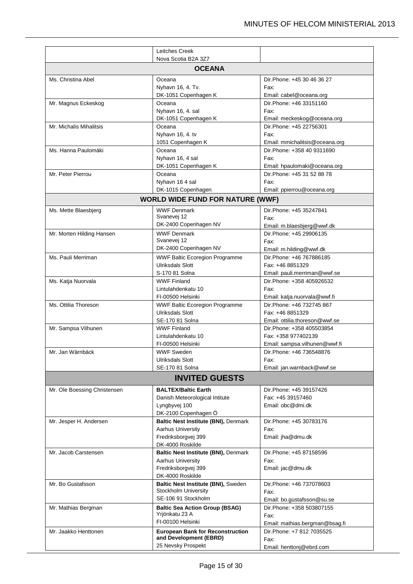|                              | Leitches Creek<br>Nova Scotia B2A 3Z7                   |                                                      |
|------------------------------|---------------------------------------------------------|------------------------------------------------------|
|                              | <b>OCEANA</b>                                           |                                                      |
| Ms. Christina Abel           |                                                         | Dir.Phone: +45 30 46 36 27                           |
|                              | Oceana<br>Nyhavn 16, 4. Tv.                             | Fax:                                                 |
|                              | DK-1051 Copenhagen K                                    | Email: cabel@oceana.org                              |
| Mr. Magnus Eckeskog          | Oceana                                                  | Dir. Phone: +46 33151160                             |
|                              | Nyhavn 16, 4. sal                                       | Fax:                                                 |
|                              | DK-1051 Copenhagen K                                    | Email: meckeskog@oceana.org                          |
| Mr. Michalis Mihalitsis      | Oceana                                                  | Dir.Phone: +45 22756301                              |
|                              | Nyhavn 16, 4. tv<br>1051 Copenhagen K                   | Fax:<br>Email: mmichalitsis@oceana.org               |
| Ms. Hanna Paulomäki          | Oceana                                                  | Dir.Phone: +358 40 9311690                           |
|                              | Nyhavn 16, 4 sal                                        | Fax:                                                 |
|                              | DK-1051 Copenhagen K                                    | Email: hpaulomaki@oceana.org                         |
| Mr. Peter Pierrou            | Oceana                                                  | Dir. Phone: +45 31 52 88 78                          |
|                              | Nyhavn 16 4 sal                                         | Fax:                                                 |
|                              | DK-1015 Copenhagen                                      | Email: ppierrou@oceana.org                           |
|                              | <b>WORLD WIDE FUND FOR NATURE (WWF)</b>                 |                                                      |
| Ms. Mette Blaesbjerg         | <b>WWF Denmark</b>                                      | Dir.Phone: +45 35247841                              |
|                              | Svanevej 12                                             | Fax:                                                 |
|                              | DK-2400 Copenhagen NV                                   | Email: m.blaesbjerg@wwf.dk                           |
| Mr. Morten Hilding Hansen    | <b>WWF Denmark</b>                                      | Dir.Phone: +45 29906135                              |
|                              | Svanevej 12<br>DK-2400 Copenhagen NV                    | Fax:                                                 |
| Ms. Pauli Merriman           | <b>WWF Baltic Ecoregion Programme</b>                   | Email: m.hilding@wwf.dk<br>Dir. Phone: +46 767886185 |
|                              | <b>Ulriksdals Slott</b>                                 | Fax: +46 8851329                                     |
|                              | S-170 81 Solna                                          | Email: pauli.merriman@wwf.se                         |
| Ms. Katja Nuorvala           | <b>WWF Finland</b>                                      | Dir. Phone: +358 405926532                           |
|                              | Lintulahdenkatu 10                                      | Fax:                                                 |
|                              | FI-00500 Helsinki                                       | Email: katja.nuorvala@wwf.fi                         |
| Ms. Ottilia Thoreson         | <b>WWF Baltic Ecoregion Programme</b>                   | Dir. Phone: +46 732745 867                           |
|                              | <b>Ulriksdals Slott</b>                                 | Fax: +46 8851329                                     |
|                              | SE-170 81 Solna                                         | Email: ottilia.thoreson@wwf.se                       |
| Mr. Sampsa Vilhunen          | <b>WWF Finland</b><br>Lintulahdenkatu 10                | Dir. Phone: +358 405503854<br>Fax: +358 977402139    |
|                              | FI-00500 Helsinki                                       | Email: sampsa.vilhunen@wwf.fi                        |
| Mr. Jan Wärnbäck             | <b>WWF Sweden</b>                                       | Dir.Phone: +46 736548876                             |
|                              | <b>Ulriksdals Slott</b>                                 | Fax:                                                 |
|                              | SE-170 81 Solna                                         | Email: jan.warnback@wwf.se                           |
|                              | <b>INVITED GUESTS</b>                                   |                                                      |
| Mr. Ole Boessing Christensen | <b>BALTEX/Baltic Earth</b>                              | Dir. Phone: +45 39157426                             |
|                              | Danish Meteorological Intitute                          | Fax: +45 39157460                                    |
|                              | Lyngbyvej 100                                           | Email: obc@dmi.dk                                    |
|                              | DK-2100 Copenhagen Ö                                    |                                                      |
| Mr. Jesper H. Andersen       | Baltic Nest Institute (BNI), Denmark                    | Dir.Phone: +45 30783176                              |
|                              | <b>Aarhus University</b><br>Fredriksborgvej 399         | Fax:<br>Email: jha@dmu.dk                            |
|                              | DK-4000 Roskilde                                        |                                                      |
| Mr. Jacob Carstensen         | Baltic Nest Institute (BNI), Denmark                    | Dir. Phone: +45 87158596                             |
|                              | Aarhus University                                       | Fax:                                                 |
|                              | Fredriksborgvej 399                                     | Email: jac@dmu.dk                                    |
|                              | DK-4000 Roskilde                                        |                                                      |
| Mr. Bo Gustafsson            | Baltic Nest Institute (BNI), Sweden                     | Dir.Phone: +46 737078603                             |
|                              | Stockholm University<br>SE-106 91 Stockholm             | Fax:                                                 |
|                              |                                                         | Email: bo.gustafsson@su.se                           |
| Mr. Mathias Bergman          | <b>Baltic Sea Action Group (BSAG)</b><br>Yrjönkatu 23 A | Dir. Phone: +358 503807155<br>Fax:                   |
|                              | FI-00100 Helsinki                                       | Email: mathias.bergman@bsag.fi                       |
| Mr. Jaakko Henttonen         | <b>European Bank for Reconstruction</b>                 | Dir. Phone: +7 812 7035525                           |
|                              | and Development (EBRD)                                  | Fax:                                                 |
|                              | 25 Nevsky Prospekt                                      | Email: henttonj@ebrd.com                             |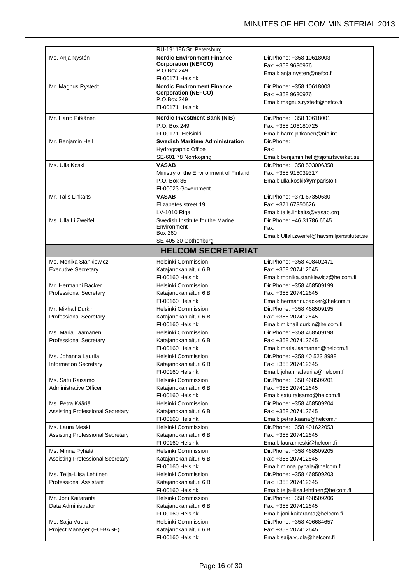|                                                     | RU-191186 St. Petersburg                      |                                                  |
|-----------------------------------------------------|-----------------------------------------------|--------------------------------------------------|
| Ms. Anja Nystén                                     | <b>Nordic Environment Finance</b>             | Dir. Phone: +358 10618003                        |
|                                                     | <b>Corporation (NEFCO)</b><br>P.O.Box 249     | Fax: +358 9630976                                |
|                                                     | FI-00171 Helsinki                             | Email: anja.nysten@nefco.fi                      |
| Mr. Magnus Rystedt                                  | <b>Nordic Environment Finance</b>             | Dir. Phone: +358 10618003                        |
|                                                     | <b>Corporation (NEFCO)</b>                    | Fax: +358 9630976                                |
|                                                     | P.O.Box 249                                   | Email: magnus.rystedt@nefco.fi                   |
|                                                     | FI-00171 Helsinki                             |                                                  |
| Mr. Harro Pitkänen                                  | <b>Nordic Investment Bank (NIB)</b>           | Dir. Phone: +358 10618001                        |
|                                                     | P.O. Box 249                                  | Fax: +358 106180725                              |
|                                                     | FI-00171 Helsinki                             | Email: harro.pitkanen@nib.int                    |
| Mr. Benjamin Hell                                   | <b>Swedish Maritime Administration</b>        | Dir.Phone:                                       |
|                                                     | <b>Hydrographic Office</b>                    | Fax:                                             |
|                                                     | SE-601 78 Norrkoping                          | Email: benjamin.hell@sjofartsverket.se           |
| Ms. Ulla Koski                                      | <b>VASAB</b>                                  | Dir.Phone: +358 503006358                        |
|                                                     | Ministry of the Environment of Finland        | Fax: +358 916039317                              |
|                                                     | P.O. Box 35                                   | Email: ulla.koski@ymparisto.fi                   |
|                                                     | FI-00023 Government                           |                                                  |
| Mr. Talis Linkaits                                  | <b>VASAB</b>                                  | Dir.Phone: +371 67350630                         |
|                                                     | Elizabetes street 19                          | Fax: +371 67350626                               |
|                                                     | LV-1010 Riga                                  | Email: talis.linkaits@vasab.org                  |
| Ms. Ulla Li Zweifel                                 | Swedish Institute for the Marine              | Dir.Phone: +46 31786 6645                        |
|                                                     | Environment<br><b>Box 260</b>                 | Fax:                                             |
|                                                     | SE-405 30 Gothenburg                          | Email: Ullali.zweifel@havsmiljoinstitutet.se     |
|                                                     | <b>HELCOM SECRETARIAT</b>                     |                                                  |
|                                                     |                                               |                                                  |
| Ms. Monika Stankiewicz                              | Helsinki Commission                           | Dir. Phone: +358 408402471                       |
| <b>Executive Secretary</b>                          | Katajanokanlaituri 6 B                        | Fax: +358 207412645                              |
|                                                     | FI-00160 Helsinki                             | Email: monika.stankiewicz@helcom.fi              |
| Mr. Hermanni Backer                                 | Helsinki Commission                           | Dir.Phone: +358 468509199                        |
| <b>Professional Secretary</b>                       | Katajanokanlaituri 6 B                        | Fax: +358 207412645                              |
|                                                     | FI-00160 Helsinki                             | Email: hermanni.backer@helcom.fi                 |
| Mr. Mikhail Durkin                                  | Helsinki Commission                           | Dir.Phone: +358 468509195                        |
| <b>Professional Secretary</b>                       | Katajanokanlaituri 6 B                        | Fax: +358 207412645                              |
|                                                     | FI-00160 Helsinki                             | Email: mikhail.durkin@helcom.fi                  |
| Ms. Maria Laamanen<br><b>Professional Secretary</b> | Helsinki Commission<br>Katajanokanlaituri 6 B | Dir.Phone: +358 468509198<br>Fax: +358 207412645 |
|                                                     | FI-00160 Helsinki                             | Email: maria.laamanen@helcom.fi                  |
| Ms. Johanna Laurila                                 | Helsinki Commission                           | Dir. Phone: +358 40 523 8988                     |
| <b>Information Secretary</b>                        | Katajanokanlaituri 6 B                        | Fax: +358 207412645                              |
|                                                     | FI-00160 Helsinki                             | Email: johanna.laurila@helcom.fi                 |
| Ms. Satu Raisamo                                    | Helsinki Commission                           | Dir.Phone: +358 468509201                        |
| Administrative Officer                              | Katajanokanlaituri 6 B                        | Fax: +358 207412645                              |
|                                                     | FI-00160 Helsinki                             | Email: satu.raisamo@helcom.fi                    |
| Ms. Petra Kääriä                                    | Helsinki Commission                           | Dir. Phone: +358 468509204                       |
| Assisting Professional Secretary                    | Katajanokanlaituri 6 B                        | Fax: +358 207412645                              |
|                                                     | FI-00160 Helsinki                             | Email: petra.kaaria@helcom.fi                    |
| Ms. Laura Meski                                     | Helsinki Commission                           | Dir.Phone: +358 401622053                        |
| Assisting Professional Secretary                    | Katajanokanlaituri 6 B                        | Fax: +358 207412645                              |
|                                                     | FI-00160 Helsinki                             | Email: laura.meski@helcom.fi                     |
| Ms. Minna Pyhälä                                    | Helsinki Commission                           | Dir.Phone: +358 468509205                        |
| Assisting Professional Secretary                    | Katajanokanlaituri 6 B                        | Fax: +358 207412645                              |
|                                                     | FI-00160 Helsinki                             | Email: minna.pyhala@helcom.fi                    |
| Ms. Teija-Liisa Lehtinen                            | Helsinki Commission                           | Dir.Phone: +358 468509203                        |
| <b>Professional Assistant</b>                       | Katajanokanlaituri 6 B                        | Fax: +358 207412645                              |
|                                                     | FI-00160 Helsinki                             | Email: teija-liisa.lehtinen@helcom.fi            |
| Mr. Joni Kaitaranta                                 | Helsinki Commission                           | Dir.Phone: +358 468509206                        |
| Data Administrator                                  | Katajanokanlaituri 6 B                        | Fax: +358 207412645                              |
|                                                     | FI-00160 Helsinki                             | Email: joni.kaitaranta@helcom.fi                 |
| Ms. Saija Vuola                                     | Helsinki Commission                           | Dir.Phone: +358 406684657                        |
| Project Manager (EU-BASE)                           | Katajanokanlaituri 6 B                        | Fax: +358 207412645                              |
|                                                     | FI-00160 Helsinki                             | Email: saija.vuola@helcom.fi                     |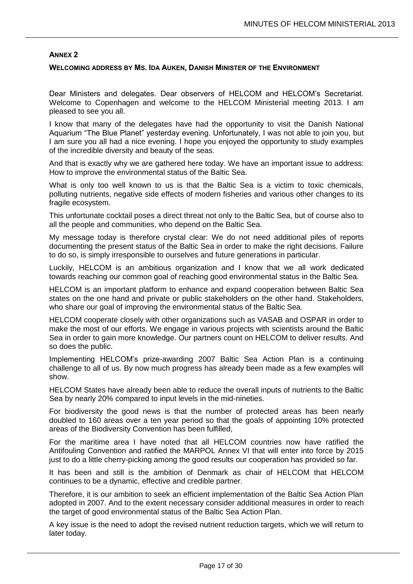### **WELCOMING ADDRESS BY MS. IDA AUKEN, DANISH MINISTER OF THE ENVIRONMENT**

Dear Ministers and delegates. Dear observers of HELCOM and HELCOM's Secretariat. Welcome to Copenhagen and welcome to the HELCOM Ministerial meeting 2013. I am pleased to see you all.

I know that many of the delegates have had the opportunity to visit the Danish National Aquarium "The Blue Planet" yesterday evening. Unfortunately, I was not able to join you, but I am sure you all had a nice evening. I hope you enjoyed the opportunity to study examples of the incredible diversity and beauty of the seas.

And that is exactly why we are gathered here today. We have an important issue to address: How to improve the environmental status of the Baltic Sea.

What is only too well known to us is that the Baltic Sea is a victim to toxic chemicals, polluting nutrients, negative side effects of modern fisheries and various other changes to its fragile ecosystem.

This unfortunate cocktail poses a direct threat not only to the Baltic Sea, but of course also to all the people and communities, who depend on the Baltic Sea.

My message today is therefore crystal clear: We do not need additional piles of reports documenting the present status of the Baltic Sea in order to make the right decisions. Failure to do so, is simply irresponsible to ourselves and future generations in particular.

Luckily, HELCOM is an ambitious organization and I know that we all work dedicated towards reaching our common goal of reaching good environmental status in the Baltic Sea.

HELCOM is an important platform to enhance and expand cooperation between Baltic Sea states on the one hand and private or public stakeholders on the other hand. Stakeholders, who share our goal of improving the environmental status of the Baltic Sea.

HELCOM cooperate closely with other organizations such as VASAB and OSPAR in order to make the most of our efforts. We engage in various projects with scientists around the Baltic Sea in order to gain more knowledge. Our partners count on HELCOM to deliver results. And so does the public.

Implementing HELCOM's prize-awarding 2007 Baltic Sea Action Plan is a continuing challenge to all of us. By now much progress has already been made as a few examples will show.

HELCOM States have already been able to reduce the overall inputs of nutrients to the Baltic Sea by nearly 20% compared to input levels in the mid-nineties.

For biodiversity the good news is that the number of protected areas has been nearly doubled to 160 areas over a ten year period so that the goals of appointing 10% protected areas of the Biodiversity Convention has been fulfilled,

For the maritime area I have noted that all HELCOM countries now have ratified the Antifouling Convention and ratified the MARPOL Annex VI that will enter into force by 2015 just to do a little cherry-picking among the good results our cooperation has provided so far.

It has been and still is the ambition of Denmark as chair of HELCOM that HELCOM continues to be a dynamic, effective and credible partner.

Therefore, it is our ambition to seek an efficient implementation of the Baltic Sea Action Plan adopted in 2007. And to the extent necessary consider additional measures in order to reach the target of good environmental status of the Baltic Sea Action Plan.

A key issue is the need to adopt the revised nutrient reduction targets, which we will return to later today.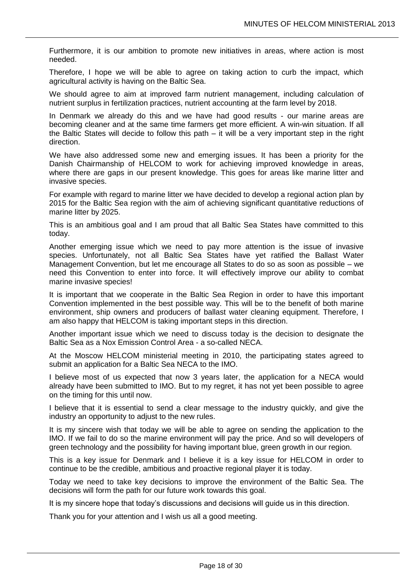Furthermore, it is our ambition to promote new initiatives in areas, where action is most needed.

Therefore, I hope we will be able to agree on taking action to curb the impact, which agricultural activity is having on the Baltic Sea.

We should agree to aim at improved farm nutrient management, including calculation of nutrient surplus in fertilization practices, nutrient accounting at the farm level by 2018.

In Denmark we already do this and we have had good results - our marine areas are becoming cleaner and at the same time farmers get more efficient. A win-win situation. If all the Baltic States will decide to follow this path – it will be a very important step in the right direction.

We have also addressed some new and emerging issues. It has been a priority for the Danish Chairmanship of HELCOM to work for achieving improved knowledge in areas, where there are gaps in our present knowledge. This goes for areas like marine litter and invasive species.

For example with regard to marine litter we have decided to develop a regional action plan by 2015 for the Baltic Sea region with the aim of achieving significant quantitative reductions of marine litter by 2025.

This is an ambitious goal and I am proud that all Baltic Sea States have committed to this today.

Another emerging issue which we need to pay more attention is the issue of invasive species. Unfortunately, not all Baltic Sea States have yet ratified the Ballast Water Management Convention, but let me encourage all States to do so as soon as possible – we need this Convention to enter into force. It will effectively improve our ability to combat marine invasive species!

It is important that we cooperate in the Baltic Sea Region in order to have this important Convention implemented in the best possible way. This will be to the benefit of both marine environment, ship owners and producers of ballast water cleaning equipment. Therefore, I am also happy that HELCOM is taking important steps in this direction.

Another important issue which we need to discuss today is the decision to designate the Baltic Sea as a Nox Emission Control Area - a so-called NECA.

At the Moscow HELCOM ministerial meeting in 2010, the participating states agreed to submit an application for a Baltic Sea NECA to the IMO.

I believe most of us expected that now 3 years later, the application for a NECA would already have been submitted to IMO. But to my regret, it has not yet been possible to agree on the timing for this until now.

I believe that it is essential to send a clear message to the industry quickly, and give the industry an opportunity to adjust to the new rules.

It is my sincere wish that today we will be able to agree on sending the application to the IMO. If we fail to do so the marine environment will pay the price. And so will developers of green technology and the possibility for having important blue, green growth in our region.

This is a key issue for Denmark and I believe it is a key issue for HELCOM in order to continue to be the credible, ambitious and proactive regional player it is today.

Today we need to take key decisions to improve the environment of the Baltic Sea. The decisions will form the path for our future work towards this goal.

It is my sincere hope that today's discussions and decisions will guide us in this direction.

Thank you for your attention and I wish us all a good meeting.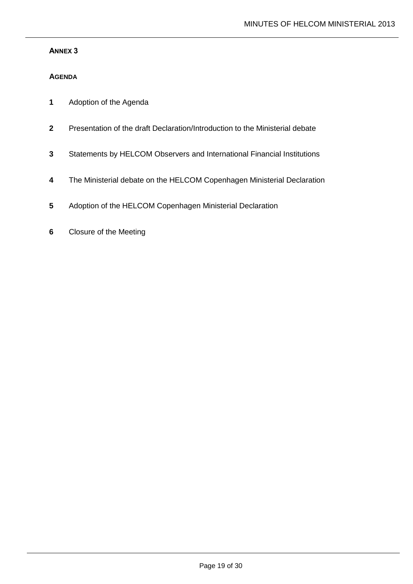# **AGENDA**

- **1** Adoption of the Agenda
- **2** Presentation of the draft Declaration/Introduction to the Ministerial debate
- **3** Statements by HELCOM Observers and International Financial Institutions
- **4** The Ministerial debate on the HELCOM Copenhagen Ministerial Declaration
- **5** Adoption of the HELCOM Copenhagen Ministerial Declaration
- **6** Closure of the Meeting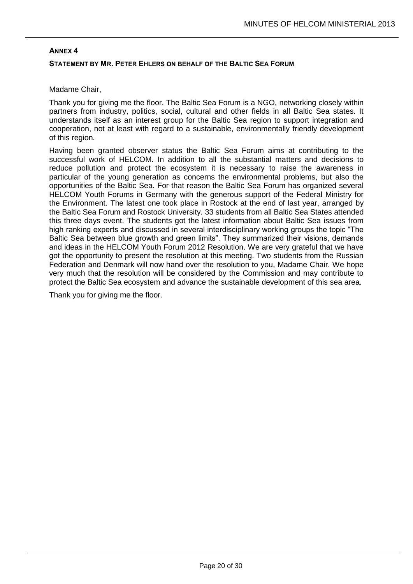# **ANNEX 4 STATEMENT BY MR. PETER EHLERS ON BEHALF OF THE BALTIC SEA FORUM**

# Madame Chair,

Thank you for giving me the floor. The Baltic Sea Forum is a NGO, networking closely within partners from industry, politics, social, cultural and other fields in all Baltic Sea states. It understands itself as an interest group for the Baltic Sea region to support integration and cooperation, not at least with regard to a sustainable, environmentally friendly development of this region.

Having been granted observer status the Baltic Sea Forum aims at contributing to the successful work of HELCOM. In addition to all the substantial matters and decisions to reduce pollution and protect the ecosystem it is necessary to raise the awareness in particular of the young generation as concerns the environmental problems, but also the opportunities of the Baltic Sea. For that reason the Baltic Sea Forum has organized several HELCOM Youth Forums in Germany with the generous support of the Federal Ministry for the Environment. The latest one took place in Rostock at the end of last year, arranged by the Baltic Sea Forum and Rostock University. 33 students from all Baltic Sea States attended this three days event. The students got the latest information about Baltic Sea issues from high ranking experts and discussed in several interdisciplinary working groups the topic "The Baltic Sea between blue growth and green limits". They summarized their visions, demands and ideas in the HELCOM Youth Forum 2012 Resolution. We are very grateful that we have got the opportunity to present the resolution at this meeting. Two students from the Russian Federation and Denmark will now hand over the resolution to you, Madame Chair. We hope very much that the resolution will be considered by the Commission and may contribute to protect the Baltic Sea ecosystem and advance the sustainable development of this sea area.

Thank you for giving me the floor.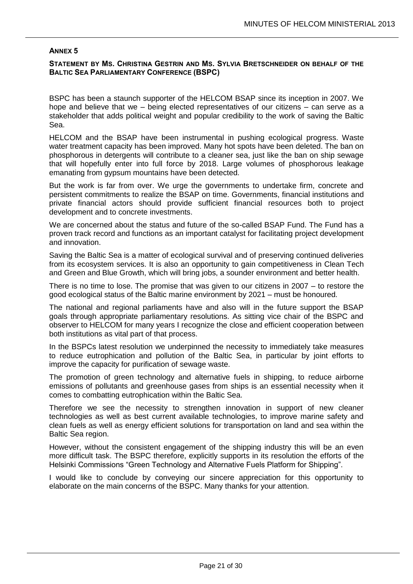# **STATEMENT BY MS. CHRISTINA GESTRIN AND MS. SYLVIA BRETSCHNEIDER ON BEHALF OF THE BALTIC SEA PARLIAMENTARY CONFERENCE (BSPC)**

BSPC has been a staunch supporter of the HELCOM BSAP since its inception in 2007. We hope and believe that we – being elected representatives of our citizens – can serve as a stakeholder that adds political weight and popular credibility to the work of saving the Baltic Sea.

HELCOM and the BSAP have been instrumental in pushing ecological progress. Waste water treatment capacity has been improved. Many hot spots have been deleted. The ban on phosphorous in detergents will contribute to a cleaner sea, just like the ban on ship sewage that will hopefully enter into full force by 2018. Large volumes of phosphorous leakage emanating from gypsum mountains have been detected.

But the work is far from over. We urge the governments to undertake firm, concrete and persistent commitments to realize the BSAP on time. Governments, financial institutions and private financial actors should provide sufficient financial resources both to project development and to concrete investments.

We are concerned about the status and future of the so-called BSAP Fund. The Fund has a proven track record and functions as an important catalyst for facilitating project development and innovation.

Saving the Baltic Sea is a matter of ecological survival and of preserving continued deliveries from its ecosystem services. It is also an opportunity to gain competitiveness in Clean Tech and Green and Blue Growth, which will bring jobs, a sounder environment and better health.

There is no time to lose. The promise that was given to our citizens in 2007 – to restore the good ecological status of the Baltic marine environment by 2021 – must be honoured.

The national and regional parliaments have and also will in the future support the BSAP goals through appropriate parliamentary resolutions. As sitting vice chair of the BSPC and observer to HELCOM for many years I recognize the close and efficient cooperation between both institutions as vital part of that process.

In the BSPCs latest resolution we underpinned the necessity to immediately take measures to reduce eutrophication and pollution of the Baltic Sea, in particular by joint efforts to improve the capacity for purification of sewage waste.

The promotion of green technology and alternative fuels in shipping, to reduce airborne emissions of pollutants and greenhouse gases from ships is an essential necessity when it comes to combatting eutrophication within the Baltic Sea.

Therefore we see the necessity to strengthen innovation in support of new cleaner technologies as well as best current available technologies, to improve marine safety and clean fuels as well as energy efficient solutions for transportation on land and sea within the Baltic Sea region.

However, without the consistent engagement of the shipping industry this will be an even more difficult task. The BSPC therefore, explicitly supports in its resolution the efforts of the Helsinki Commissions "Green Technology and Alternative Fuels Platform for Shipping".

I would like to conclude by conveying our sincere appreciation for this opportunity to elaborate on the main concerns of the BSPC. Many thanks for your attention.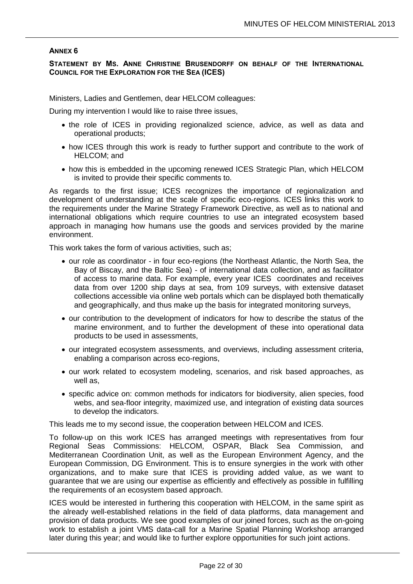**STATEMENT BY MS. ANNE CHRISTINE BRUSENDORFF ON BEHALF OF THE INTERNATIONAL COUNCIL FOR THE EXPLORATION FOR THE SEA (ICES)**

Ministers, Ladies and Gentlemen, dear HELCOM colleagues:

During my intervention I would like to raise three issues,

- the role of ICES in providing regionalized science, advice, as well as data and operational products;
- how ICES through this work is ready to further support and contribute to the work of HELCOM; and
- how this is embedded in the upcoming renewed ICES Strategic Plan, which HELCOM is invited to provide their specific comments to.

As regards to the first issue; ICES recognizes the importance of regionalization and development of understanding at the scale of specific eco-regions. ICES links this work to the requirements under the Marine Strategy Framework Directive, as well as to national and international obligations which require countries to use an integrated ecosystem based approach in managing how humans use the goods and services provided by the marine environment.

This work takes the form of various activities, such as;

- our role as coordinator in four eco-regions (the Northeast Atlantic, the North Sea, the Bay of Biscay, and the Baltic Sea) - of international data collection, and as facilitator of access to marine data. For example, every year ICES coordinates and receives data from over 1200 ship days at sea, from 109 surveys, with extensive dataset collections accessible via online web portals which can be displayed both thematically and geographically, and thus make up the basis for integrated monitoring surveys,
- our contribution to the development of indicators for how to describe the status of the marine environment, and to further the development of these into operational data products to be used in assessments,
- our integrated ecosystem assessments, and overviews, including assessment criteria, enabling a comparison across eco-regions,
- our work related to ecosystem modeling, scenarios, and risk based approaches, as well as,
- specific advice on: common methods for indicators for biodiversity, alien species, food webs, and sea-floor integrity, maximized use, and integration of existing data sources to develop the indicators.

This leads me to my second issue, the cooperation between HELCOM and ICES.

To follow-up on this work ICES has arranged meetings with representatives from four Regional Seas Commissions: HELCOM, OSPAR, Black Sea Commission, and Mediterranean Coordination Unit, as well as the European Environment Agency, and the European Commission, DG Environment. This is to ensure synergies in the work with other organizations, and to make sure that ICES is providing added value, as we want to guarantee that we are using our expertise as efficiently and effectively as possible in fulfilling the requirements of an ecosystem based approach.

ICES would be interested in furthering this cooperation with HELCOM, in the same spirit as the already well-established relations in the field of data platforms, data management and provision of data products. We see good examples of our joined forces, such as the on-going work to establish a joint VMS data-call for a Marine Spatial Planning Workshop arranged later during this year; and would like to further explore opportunities for such joint actions.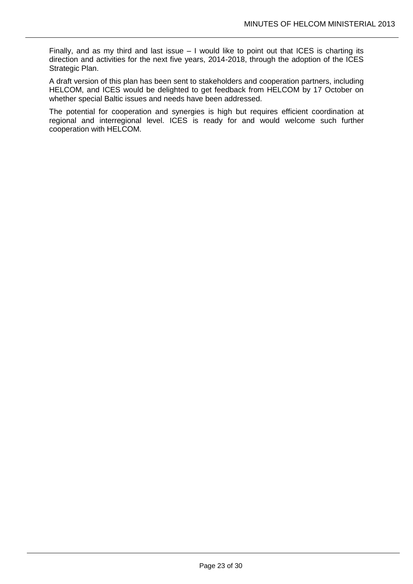Finally, and as my third and last issue – I would like to point out that ICES is charting its direction and activities for the next five years, 2014-2018, through the adoption of the ICES Strategic Plan.

A draft version of this plan has been sent to stakeholders and cooperation partners, including HELCOM, and ICES would be delighted to get feedback from HELCOM by 17 October on whether special Baltic issues and needs have been addressed.

The potential for cooperation and synergies is high but requires efficient coordination at regional and interregional level. ICES is ready for and would welcome such further cooperation with HELCOM.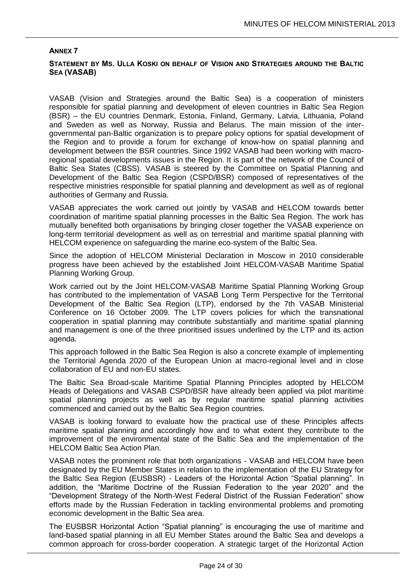# **STATEMENT BY MS. ULLA KOSKI ON BEHALF OF VISION AND STRATEGIES AROUND THE BALTIC SEA (VASAB)**

VASAB (Vision and Strategies around the Baltic Sea) is a cooperation of ministers responsible for spatial planning and development of eleven countries in Baltic Sea Region (BSR) – the EU countries Denmark, Estonia, Finland, Germany, Latvia, Lithuania, Poland and Sweden as well as Norway, Russia and Belarus. The main mission of the intergovernmental pan-Baltic organization is to prepare policy options for spatial development of the Region and to provide a forum for exchange of know-how on spatial planning and development between the BSR countries. Since 1992 VASAB had been working with macroregional spatial developments issues in the Region. It is part of the network of the Council of Baltic Sea States (CBSS). VASAB is steered by the Committee on Spatial Planning and Development of the Baltic Sea Region (CSPD/BSR) composed of representatives of the respective ministries responsible for spatial planning and development as well as of regional authorities of Germany and Russia.

VASAB appreciates the work carried out jointly by VASAB and HELCOM towards better coordination of maritime spatial planning processes in the Baltic Sea Region. The work has mutually benefited both organisations by bringing closer together the VASAB experience on long-term territorial development as well as on terrestrial and maritime spatial planning with HELCOM experience on safeguarding the marine eco-system of the Baltic Sea.

Since the adoption of HELCOM Ministerial Declaration in Moscow in 2010 considerable progress have been achieved by the established Joint HELCOM-VASAB Maritime Spatial Planning Working Group.

Work carried out by the Joint HELCOM-VASAB Maritime Spatial Planning Working Group has contributed to the implementation of VASAB Long Term Perspective for the Territorial Development of the Baltic Sea Region (LTP), endorsed by the 7th VASAB Ministerial Conference on 16 October 2009. The LTP covers policies for which the transnational cooperation in spatial planning may contribute substantially and maritime spatial planning and management is one of the three prioritised issues underlined by the LTP and its action agenda.

This approach followed in the Baltic Sea Region is also a concrete example of implementing the Territorial Agenda 2020 of the European Union at macro-regional level and in close collaboration of EU and non-EU states.

The Baltic Sea Broad-scale Maritime Spatial Planning Principles adopted by HELCOM Heads of Delegations and VASAB CSPD/BSR have already been applied via pilot maritime spatial planning projects as well as by regular maritime spatial planning activities commenced and carried out by the Baltic Sea Region countries.

VASAB is looking forward to evaluate how the practical use of these Principles affects maritime spatial planning and accordingly how and to what extent they contribute to the improvement of the environmental state of the Baltic Sea and the implementation of the HELCOM Baltic Sea Action Plan.

VASAB notes the prominent role that both organizations - VASAB and HELCOM have been designated by the EU Member States in relation to the implementation of the EU Strategy for the Baltic Sea Region (EUSBSR) - Leaders of the Horizontal Action "Spatial planning". In addition, the "Maritime Doctrine of the Russian Federation to the year 2020" and the "Development Strategy of the North-West Federal District of the Russian Federation" show efforts made by the Russian Federation in tackling environmental problems and promoting economic development in the Baltic Sea area.

The EUSBSR Horizontal Action "Spatial planning" is encouraging the use of maritime and land-based spatial planning in all EU Member States around the Baltic Sea and develops a common approach for cross-border cooperation. A strategic target of the Horizontal Action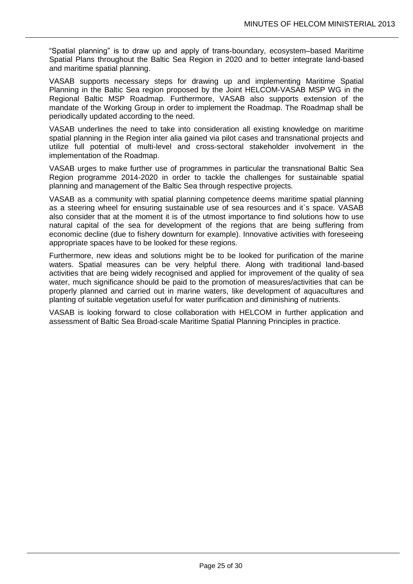"Spatial planning" is to draw up and apply of trans-boundary, ecosystem–based Maritime Spatial Plans throughout the Baltic Sea Region in 2020 and to better integrate land-based and maritime spatial planning.

VASAB supports necessary steps for drawing up and implementing Maritime Spatial Planning in the Baltic Sea region proposed by the Joint HELCOM-VASAB MSP WG in the Regional Baltic MSP Roadmap. Furthermore, VASAB also supports extension of the mandate of the Working Group in order to implement the Roadmap. The Roadmap shall be periodically updated according to the need.

VASAB underlines the need to take into consideration all existing knowledge on maritime spatial planning in the Region inter alia gained via pilot cases and transnational projects and utilize full potential of multi-level and cross-sectoral stakeholder involvement in the implementation of the Roadmap.

VASAB urges to make further use of programmes in particular the transnational Baltic Sea Region programme 2014-2020 in order to tackle the challenges for sustainable spatial planning and management of the Baltic Sea through respective projects.

VASAB as a community with spatial planning competence deems maritime spatial planning as a steering wheel for ensuring sustainable use of sea resources and it`s space. VASAB also consider that at the moment it is of the utmost importance to find solutions how to use natural capital of the sea for development of the regions that are being suffering from economic decline (due to fishery downturn for example). Innovative activities with foreseeing appropriate spaces have to be looked for these regions.

Furthermore, new ideas and solutions might be to be looked for purification of the marine waters. Spatial measures can be very helpful there. Along with traditional land-based activities that are being widely recognised and applied for improvement of the quality of sea water, much significance should be paid to the promotion of measures/activities that can be properly planned and carried out in marine waters, like development of aquacultures and planting of suitable vegetation useful for water purification and diminishing of nutrients.

VASAB is looking forward to close collaboration with HELCOM in further application and assessment of Baltic Sea Broad-scale Maritime Spatial Planning Principles in practice.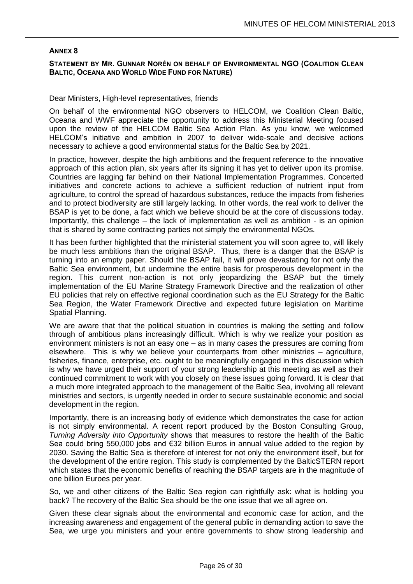# **STATEMENT BY MR. GUNNAR NORÉN ON BEHALF OF ENVIRONMENTAL NGO (COALITION CLEAN BALTIC, OCEANA AND WORLD WIDE FUND FOR NATURE)**

#### Dear Ministers, High-level representatives, friends

On behalf of the environmental NGO observers to HELCOM, we Coalition Clean Baltic, Oceana and WWF appreciate the opportunity to address this Ministerial Meeting focused upon the review of the HELCOM Baltic Sea Action Plan. As you know, we welcomed HELCOM's initiative and ambition in 2007 to deliver wide-scale and decisive actions necessary to achieve a good environmental status for the Baltic Sea by 2021.

In practice, however, despite the high ambitions and the frequent reference to the innovative approach of this action plan, six years after its signing it has yet to deliver upon its promise. Countries are lagging far behind on their National Implementation Programmes. Concerted initiatives and concrete actions to achieve a sufficient reduction of nutrient input from agriculture, to control the spread of hazardous substances, reduce the impacts from fisheries and to protect biodiversity are still largely lacking. In other words, the real work to deliver the BSAP is yet to be done, a fact which we believe should be at the core of discussions today. Importantly, this challenge – the lack of implementation as well as ambition - is an opinion that is shared by some contracting parties not simply the environmental NGOs.

It has been further highlighted that the ministerial statement you will soon agree to, will likely be much less ambitions than the original BSAP. Thus, there is a danger that the BSAP is turning into an empty paper. Should the BSAP fail, it will prove devastating for not only the Baltic Sea environment, but undermine the entire basis for prosperous development in the region. This current non-action is not only jeopardizing the BSAP but the timely implementation of the EU Marine Strategy Framework Directive and the realization of other EU policies that rely on effective regional coordination such as the EU Strategy for the Baltic Sea Region, the Water Framework Directive and expected future legislation on Maritime Spatial Planning.

We are aware that that the political situation in countries is making the setting and follow through of ambitious plans increasingly difficult. Which is why we realize your position as environment ministers is not an easy one – as in many cases the pressures are coming from elsewhere. This is why we believe your counterparts from other ministries – agriculture, fisheries, finance, enterprise, etc. ought to be meaningfully engaged in this discussion which is why we have urged their support of your strong leadership at this meeting as well as their continued commitment to work with you closely on these issues going forward. It is clear that a much more integrated approach to the management of the Baltic Sea, involving all relevant ministries and sectors, is urgently needed in order to secure sustainable economic and social development in the region.

Importantly, there is an increasing body of evidence which demonstrates the case for action is not simply environmental. A recent report produced by the Boston Consulting Group, *Turning Adversity into Opportunity* shows that measures to restore the health of the Baltic Sea could bring 550,000 jobs and €32 billion Euros in annual value added to the region by 2030. Saving the Baltic Sea is therefore of interest for not only the environment itself, but for the development of the entire region. This study is complemented by the BalticSTERN report which states that the economic benefits of reaching the BSAP targets are in the magnitude of one billion Euroes per year.

So, we and other citizens of the Baltic Sea region can rightfully ask: what is holding you back? The recovery of the Baltic Sea should be the one issue that we all agree on.

Given these clear signals about the environmental and economic case for action, and the increasing awareness and engagement of the general public in demanding action to save the Sea, we urge you ministers and your entire governments to show strong leadership and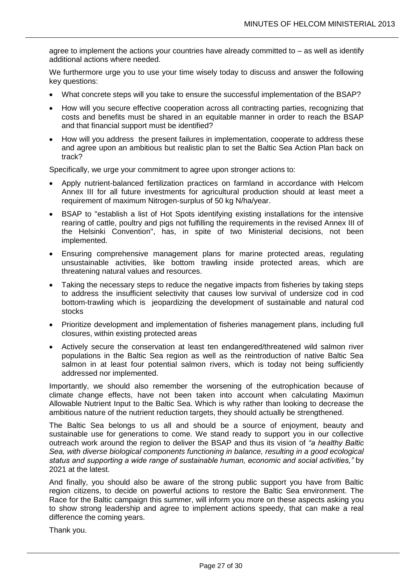agree to implement the actions your countries have already committed to – as well as identify additional actions where needed.

We furthermore urge you to use your time wisely today to discuss and answer the following key questions:

- What concrete steps will you take to ensure the successful implementation of the BSAP?
- How will you secure effective cooperation across all contracting parties, recognizing that costs and benefits must be shared in an equitable manner in order to reach the BSAP and that financial support must be identified?
- How will you address the present failures in implementation, cooperate to address these and agree upon an ambitious but realistic plan to set the Baltic Sea Action Plan back on track?

Specifically, we urge your commitment to agree upon stronger actions to:

- Apply nutrient-balanced fertilization practices on farmland in accordance with Helcom Annex III for all future investments for agricultural production should at least meet a requirement of maximum Nitrogen-surplus of 50 kg N/ha/year.
- BSAP to "establish a list of Hot Spots identifying existing installations for the intensive rearing of cattle, poultry and pigs not fulfilling the requirements in the revised Annex III of the Helsinki Convention", has, in spite of two Ministerial decisions, not been implemented.
- Ensuring comprehensive management plans for marine protected areas, regulating unsustainable activities, like bottom trawling inside protected areas, which are threatening natural values and resources.
- Taking the necessary steps to reduce the negative impacts from fisheries by taking steps to address the insufficient selectivity that causes low survival of undersize cod in cod bottom-trawling which is jeopardizing the development of sustainable and natural cod stocks
- Prioritize development and implementation of fisheries management plans, including full closures, within existing protected areas
- Actively secure the conservation at least ten endangered/threatened wild salmon river populations in the Baltic Sea region as well as the reintroduction of native Baltic Sea salmon in at least four potential salmon rivers, which is today not being sufficiently addressed nor implemented.

Importantly, we should also remember the worsening of the eutrophication because of climate change effects, have not been taken into account when calculating Maximun Allowable Nutrient Input to the Baltic Sea. Which is why rather than looking to decrease the ambitious nature of the nutrient reduction targets, they should actually be strengthened.

The Baltic Sea belongs to us all and should be a source of enjoyment, beauty and sustainable use for generations to come. We stand ready to support you in our collective outreach work around the region to deliver the BSAP and thus its vision of *"a healthy Baltic Sea, with diverse biological components functioning in balance, resulting in a good ecological status and supporting a wide range of sustainable human, economic and social activities,"* by 2021 at the latest.

And finally, you should also be aware of the strong public support you have from Baltic region citizens, to decide on powerful actions to restore the Baltic Sea environment. The Race for the Baltic campaign this summer, will inform you more on these aspects asking you to show strong leadership and agree to implement actions speedy, that can make a real difference the coming years.

Thank you.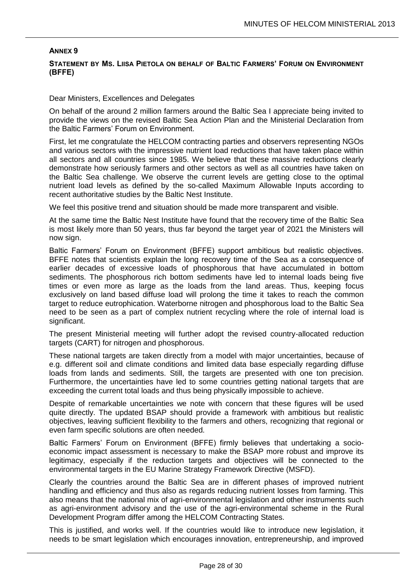# **STATEMENT BY MS. LIISA PIETOLA ON BEHALF OF BALTIC FARMERS' FORUM ON ENVIRONMENT (BFFE)**

### Dear Ministers, Excellences and Delegates

On behalf of the around 2 million farmers around the Baltic Sea I appreciate being invited to provide the views on the revised Baltic Sea Action Plan and the Ministerial Declaration from the Baltic Farmers' Forum on Environment.

First, let me congratulate the HELCOM contracting parties and observers representing NGOs and various sectors with the impressive nutrient load reductions that have taken place within all sectors and all countries since 1985. We believe that these massive reductions clearly demonstrate how seriously farmers and other sectors as well as all countries have taken on the Baltic Sea challenge. We observe the current levels are getting close to the optimal nutrient load levels as defined by the so-called Maximum Allowable Inputs according to recent authoritative studies by the Baltic Nest Institute.

We feel this positive trend and situation should be made more transparent and visible.

At the same time the Baltic Nest Institute have found that the recovery time of the Baltic Sea is most likely more than 50 years, thus far beyond the target year of 2021 the Ministers will now sign.

Baltic Farmers' Forum on Environment (BFFE) support ambitious but realistic objectives. BFFE notes that scientists explain the long recovery time of the Sea as a consequence of earlier decades of excessive loads of phosphorous that have accumulated in bottom sediments. The phosphorous rich bottom sediments have led to internal loads being five times or even more as large as the loads from the land areas. Thus, keeping focus exclusively on land based diffuse load will prolong the time it takes to reach the common target to reduce eutrophication. Waterborne nitrogen and phosphorous load to the Baltic Sea need to be seen as a part of complex nutrient recycling where the role of internal load is significant.

The present Ministerial meeting will further adopt the revised country-allocated reduction targets (CART) for nitrogen and phosphorous.

These national targets are taken directly from a model with major uncertainties, because of e.g. different soil and climate conditions and limited data base especially regarding diffuse loads from lands and sediments. Still, the targets are presented with one ton precision. Furthermore, the uncertainties have led to some countries getting national targets that are exceeding the current total loads and thus being physically impossible to achieve.

Despite of remarkable uncertainties we note with concern that these figures will be used quite directly. The updated BSAP should provide a framework with ambitious but realistic objectives, leaving sufficient flexibility to the farmers and others, recognizing that regional or even farm specific solutions are often needed.

Baltic Farmers' Forum on Environment (BFFE) firmly believes that undertaking a socioeconomic impact assessment is necessary to make the BSAP more robust and improve its legitimacy, especially if the reduction targets and objectives will be connected to the environmental targets in the EU Marine Strategy Framework Directive (MSFD).

Clearly the countries around the Baltic Sea are in different phases of improved nutrient handling and efficiency and thus also as regards reducing nutrient losses from farming. This also means that the national mix of agri-environmental legislation and other instruments such as agri-environment advisory and the use of the agri-environmental scheme in the Rural Development Program differ among the HELCOM Contracting States.

This is justified, and works well. If the countries would like to introduce new legislation, it needs to be smart legislation which encourages innovation, entrepreneurship, and improved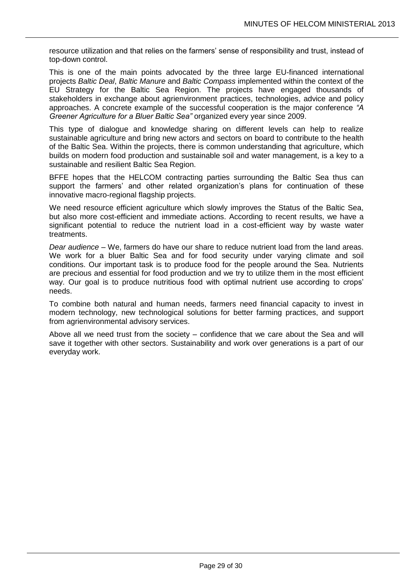resource utilization and that relies on the farmers' sense of responsibility and trust, instead of top-down control.

This is one of the main points advocated by the three large EU-financed international projects *Baltic Deal*, *Baltic Manure* and *Baltic Compass* implemented within the context of the EU Strategy for the Baltic Sea Region. The projects have engaged thousands of stakeholders in exchange about agrienvironment practices, technologies, advice and policy approaches. A concrete example of the successful cooperation is the major conference *"A Greener Agriculture for a Bluer Baltic Sea"* organized every year since 2009.

This type of dialogue and knowledge sharing on different levels can help to realize sustainable agriculture and bring new actors and sectors on board to contribute to the health of the Baltic Sea. Within the projects, there is common understanding that agriculture, which builds on modern food production and sustainable soil and water management, is a key to a sustainable and resilient Baltic Sea Region.

BFFE hopes that the HELCOM contracting parties surrounding the Baltic Sea thus can support the farmers' and other related organization's plans for continuation of these innovative macro-regional flagship projects.

We need resource efficient agriculture which slowly improves the Status of the Baltic Sea, but also more cost-efficient and immediate actions. According to recent results, we have a significant potential to reduce the nutrient load in a cost-efficient way by waste water treatments.

*Dear audience –* We, farmers do have our share to reduce nutrient load from the land areas. We work for a bluer Baltic Sea and for food security under varying climate and soil conditions. Our important task is to produce food for the people around the Sea. Nutrients are precious and essential for food production and we try to utilize them in the most efficient way. Our goal is to produce nutritious food with optimal nutrient use according to crops' needs.

To combine both natural and human needs, farmers need financial capacity to invest in modern technology, new technological solutions for better farming practices, and support from agrienvironmental advisory services.

Above all we need trust from the society – confidence that we care about the Sea and will save it together with other sectors. Sustainability and work over generations is a part of our everyday work.